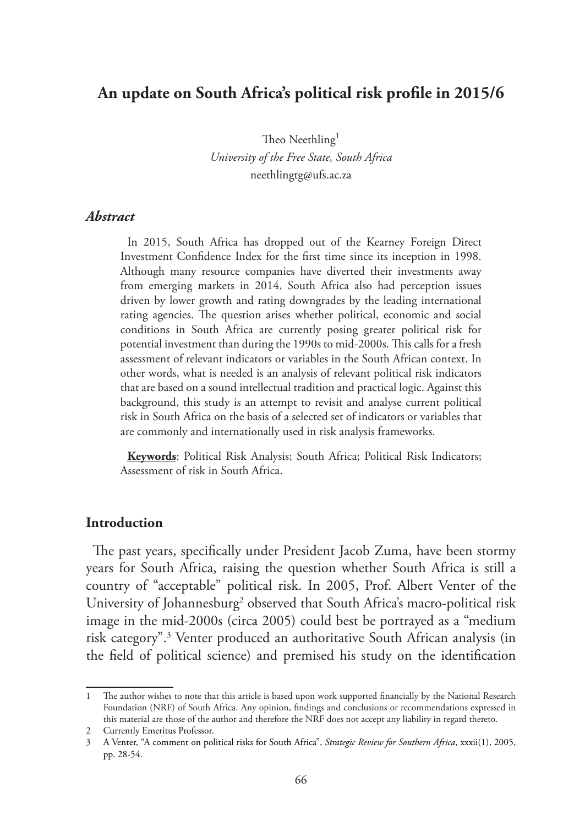# **An update on South Africa's political risk profile in 2015/6**

Theo Neethling<sup>1</sup> *University of the Free State, South Africa* neethlingtg@ufs.ac.za

#### *Abstract*

In 2015, South Africa has dropped out of the Kearney Foreign Direct Investment Confidence Index for the first time since its inception in 1998. Although many resource companies have diverted their investments away from emerging markets in 2014, South Africa also had perception issues driven by lower growth and rating downgrades by the leading international rating agencies. The question arises whether political, economic and social conditions in South Africa are currently posing greater political risk for potential investment than during the 1990s to mid-2000s. This calls for a fresh assessment of relevant indicators or variables in the South African context. In other words, what is needed is an analysis of relevant political risk indicators that are based on a sound intellectual tradition and practical logic. Against this background, this study is an attempt to revisit and analyse current political risk in South Africa on the basis of a selected set of indicators or variables that are commonly and internationally used in risk analysis frameworks.

**Keywords**: Political Risk Analysis; South Africa; Political Risk Indicators; Assessment of risk in South Africa.

#### **Introduction**

The past years, specifically under President Jacob Zuma, have been stormy years for South Africa, raising the question whether South Africa is still a country of "acceptable" political risk. In 2005, Prof. Albert Venter of the University of Johannesburg<sup>2</sup> observed that South Africa's macro-political risk image in the mid-2000s (circa 2005) could best be portrayed as a "medium risk category".3 Venter produced an authoritative South African analysis (in the field of political science) and premised his study on the identification

<sup>1</sup> The author wishes to note that this article is based upon work supported financially by the National Research Foundation (NRF) of South Africa. Any opinion, findings and conclusions or recommendations expressed in this material are those of the author and therefore the NRF does not accept any liability in regard thereto.

<sup>2</sup> Currently Emeritus Professor.

<sup>3</sup> A Venter, "A comment on political risks for South Africa", *Strategic Review for Southern Africa*, xxxii(1), 2005, pp. 28-54.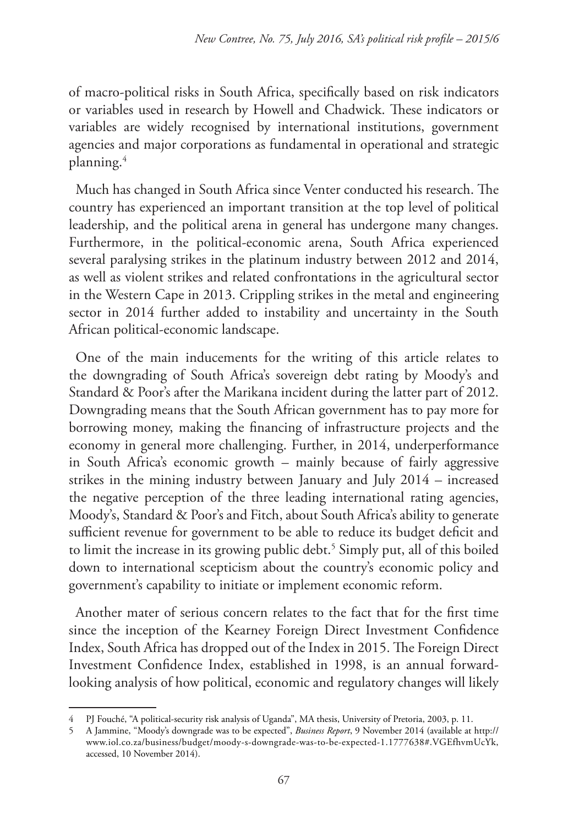of macro-political risks in South Africa, specifically based on risk indicators or variables used in research by Howell and Chadwick. These indicators or variables are widely recognised by international institutions, government agencies and major corporations as fundamental in operational and strategic planning.4

Much has changed in South Africa since Venter conducted his research. The country has experienced an important transition at the top level of political leadership, and the political arena in general has undergone many changes. Furthermore, in the political-economic arena, South Africa experienced several paralysing strikes in the platinum industry between 2012 and 2014, as well as violent strikes and related confrontations in the agricultural sector in the Western Cape in 2013. Crippling strikes in the metal and engineering sector in 2014 further added to instability and uncertainty in the South African political-economic landscape.

One of the main inducements for the writing of this article relates to the downgrading of South Africa's sovereign debt rating by Moody's and Standard & Poor's after the Marikana incident during the latter part of 2012. Downgrading means that the South African government has to pay more for borrowing money, making the financing of infrastructure projects and the economy in general more challenging. Further, in 2014, underperformance in South Africa's economic growth – mainly because of fairly aggressive strikes in the mining industry between January and July 2014 – increased the negative perception of the three leading international rating agencies, Moody's, Standard & Poor's and Fitch, about South Africa's ability to generate sufficient revenue for government to be able to reduce its budget deficit and to limit the increase in its growing public debt.<sup>5</sup> Simply put, all of this boiled down to international scepticism about the country's economic policy and government's capability to initiate or implement economic reform.

Another mater of serious concern relates to the fact that for the first time since the inception of the Kearney Foreign Direct Investment Confidence Index, South Africa has dropped out of the Index in 2015. The Foreign Direct Investment Confidence Index, established in 1998, is an annual forwardlooking analysis of how political, economic and regulatory changes will likely

<sup>4</sup> PJ Fouché, "A political-security risk analysis of Uganda", MA thesis, University of Pretoria, 2003, p. 11.

<sup>5</sup> A Jammine, "Moody's downgrade was to be expected", *Business Report*, 9 November 2014 (available at http:// www.iol.co.za/business/budget/moody-s-downgrade-was-to-be-expected-1.1777638#.VGEfhvmUcYk, accessed, 10 November 2014).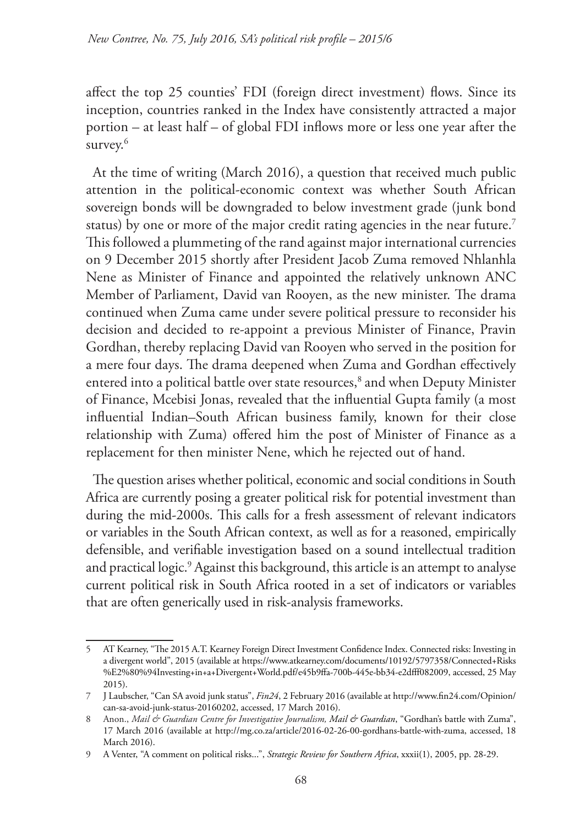affect the top 25 counties' FDI (foreign direct investment) flows. Since its inception, countries ranked in the Index have consistently attracted a major portion – at least half – of global FDI inflows more or less one year after the survey.<sup>6</sup>

At the time of writing (March 2016), a question that received much public attention in the political-economic context was whether South African sovereign bonds will be downgraded to below investment grade (junk bond status) by one or more of the major credit rating agencies in the near future.<sup>7</sup> This followed a plummeting of the rand against major international currencies on 9 December 2015 shortly after President Jacob Zuma removed Nhlanhla Nene as Minister of Finance and appointed the relatively unknown ANC Member of Parliament, David van Rooyen, as the new minister. The drama continued when Zuma came under severe political pressure to reconsider his decision and decided to re-appoint a previous Minister of Finance, Pravin Gordhan, thereby replacing David van Rooyen who served in the position for a mere four days. The drama deepened when Zuma and Gordhan effectively entered into a political battle over state resources,<sup>8</sup> and when Deputy Minister of Finance, Mcebisi Jonas, revealed that the influential Gupta family (a most influential Indian–South African business family, known for their close relationship with Zuma) offered him the post of Minister of Finance as a replacement for then minister Nene, which he rejected out of hand.

The question arises whether political, economic and social conditions in South Africa are currently posing a greater political risk for potential investment than during the mid-2000s. This calls for a fresh assessment of relevant indicators or variables in the South African context, as well as for a reasoned, empirically defensible, and verifiable investigation based on a sound intellectual tradition and practical logic.9 Against this background, this article is an attempt to analyse current political risk in South Africa rooted in a set of indicators or variables that are often generically used in risk-analysis frameworks.

<sup>5</sup> AT Kearney, "The 2015 A.T. Kearney Foreign Direct Investment Confidence Index. Connected risks: Investing in a divergent world", 2015 (available at https://www.atkearney.com/documents/10192/5797358/Connected+Risks %E2%80%94Investing+in+a+Divergent+World.pdf/e45b9ffa-700b-445e-bb34-e2dfff082009, accessed, 25 May 2015).

<sup>7</sup> J Laubscher, "Can SA avoid junk status", *Fin24*, 2 February 2016 (available at http://www.fin24.com/Opinion/ can-sa-avoid-junk-status-20160202, accessed, 17 March 2016).

<sup>8</sup> Anon., *Mail & Guardian Centre for Investigative Journalism, Mail & Guardian*, "Gordhan's battle with Zuma", 17 March 2016 (available at http://mg.co.za/article/2016-02-26-00-gordhans-battle-with-zuma, accessed, 18 March 2016).

<sup>9</sup> A Venter, "A comment on political risks...", *Strategic Review for Southern Africa*, xxxii(1), 2005, pp. 28-29.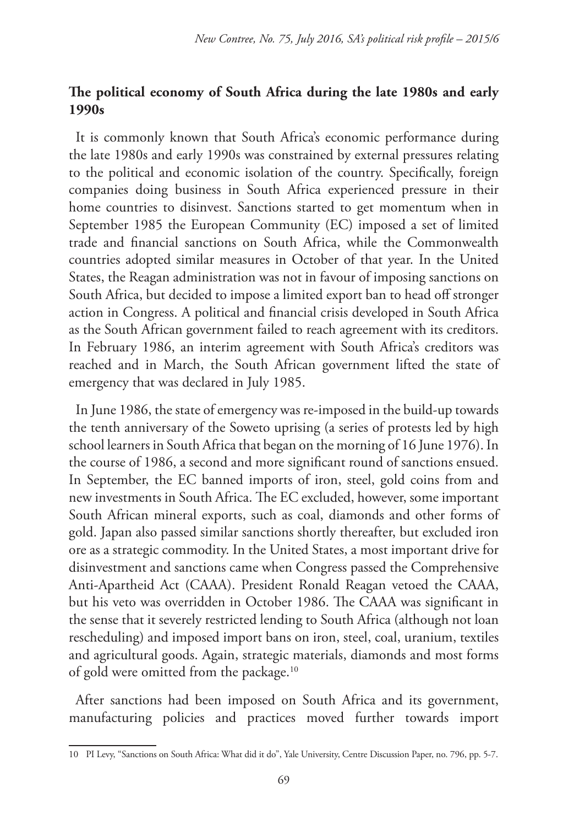# **The political economy of South Africa during the late 1980s and early 1990s**

It is commonly known that South Africa's economic performance during the late 1980s and early 1990s was constrained by external pressures relating to the political and economic isolation of the country. Specifically, foreign companies doing business in South Africa experienced pressure in their home countries to disinvest. Sanctions started to get momentum when in September 1985 the European Community (EC) imposed a set of limited trade and financial sanctions on South Africa, while the Commonwealth countries adopted similar measures in October of that year. In the United States, the Reagan administration was not in favour of imposing sanctions on South Africa, but decided to impose a limited export ban to head off stronger action in Congress. A political and financial crisis developed in South Africa as the South African government failed to reach agreement with its creditors. In February 1986, an interim agreement with South Africa's creditors was reached and in March, the South African government lifted the state of emergency that was declared in July 1985.

In June 1986, the state of emergency was re-imposed in the build-up towards the tenth anniversary of the Soweto uprising (a series of protests led by high school learners in South Africa that began on the morning of 16 June 1976). In the course of 1986, a second and more significant round of sanctions ensued. In September, the EC banned imports of iron, steel, gold coins from and new investments in South Africa. The EC excluded, however, some important South African mineral exports, such as coal, diamonds and other forms of gold. Japan also passed similar sanctions shortly thereafter, but excluded iron ore as a strategic commodity. In the United States, a most important drive for disinvestment and sanctions came when Congress passed the Comprehensive Anti-Apartheid Act (CAAA). President Ronald Reagan vetoed the CAAA, but his veto was overridden in October 1986. The CAAA was significant in the sense that it severely restricted lending to South Africa (although not loan rescheduling) and imposed import bans on iron, steel, coal, uranium, textiles and agricultural goods. Again, strategic materials, diamonds and most forms of gold were omitted from the package.<sup>10</sup>

After sanctions had been imposed on South Africa and its government, manufacturing policies and practices moved further towards import

<sup>10</sup> PI Levy, "Sanctions on South Africa: What did it do", Yale University, Centre Discussion Paper, no. 796, pp. 5-7.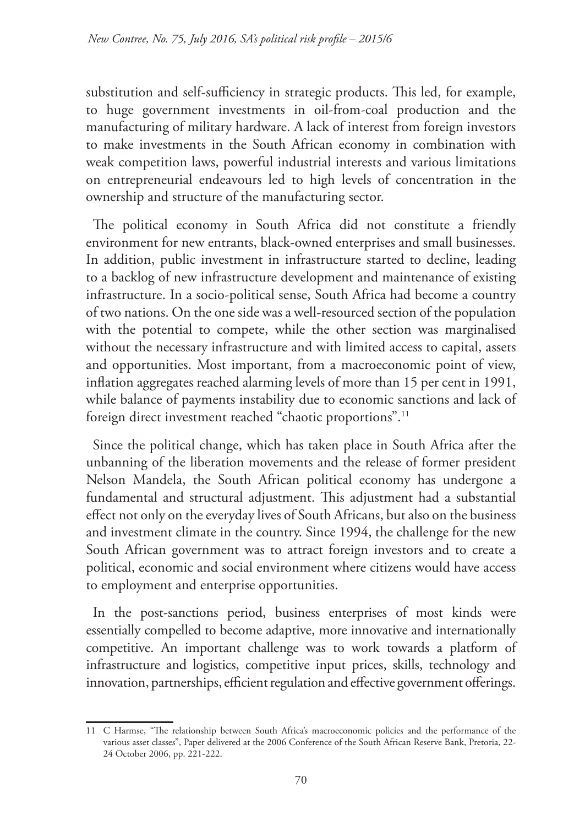substitution and self-sufficiency in strategic products. This led, for example, to huge government investments in oil-from-coal production and the manufacturing of military hardware. A lack of interest from foreign investors to make investments in the South African economy in combination with weak competition laws, powerful industrial interests and various limitations on entrepreneurial endeavours led to high levels of concentration in the ownership and structure of the manufacturing sector.

The political economy in South Africa did not constitute a friendly environment for new entrants, black-owned enterprises and small businesses. In addition, public investment in infrastructure started to decline, leading to a backlog of new infrastructure development and maintenance of existing infrastructure. In a socio-political sense, South Africa had become a country of two nations. On the one side was a well-resourced section of the population with the potential to compete, while the other section was marginalised without the necessary infrastructure and with limited access to capital, assets and opportunities. Most important, from a macroeconomic point of view, inflation aggregates reached alarming levels of more than 15 per cent in 1991, while balance of payments instability due to economic sanctions and lack of foreign direct investment reached "chaotic proportions".<sup>11</sup>

Since the political change, which has taken place in South Africa after the unbanning of the liberation movements and the release of former president Nelson Mandela, the South African political economy has undergone a fundamental and structural adjustment. This adjustment had a substantial effect not only on the everyday lives of South Africans, but also on the business and investment climate in the country. Since 1994, the challenge for the new South African government was to attract foreign investors and to create a political, economic and social environment where citizens would have access to employment and enterprise opportunities.

In the post-sanctions period, business enterprises of most kinds were essentially compelled to become adaptive, more innovative and internationally competitive. An important challenge was to work towards a platform of infrastructure and logistics, competitive input prices, skills, technology and innovation, partnerships, efficient regulation and effective government offerings.

<sup>11</sup> C Harmse, "The relationship between South Africa's macroeconomic policies and the performance of the various asset classes", Paper delivered at the 2006 Conference of the South African Reserve Bank, Pretoria, 22- 24 October 2006, pp. 221-222.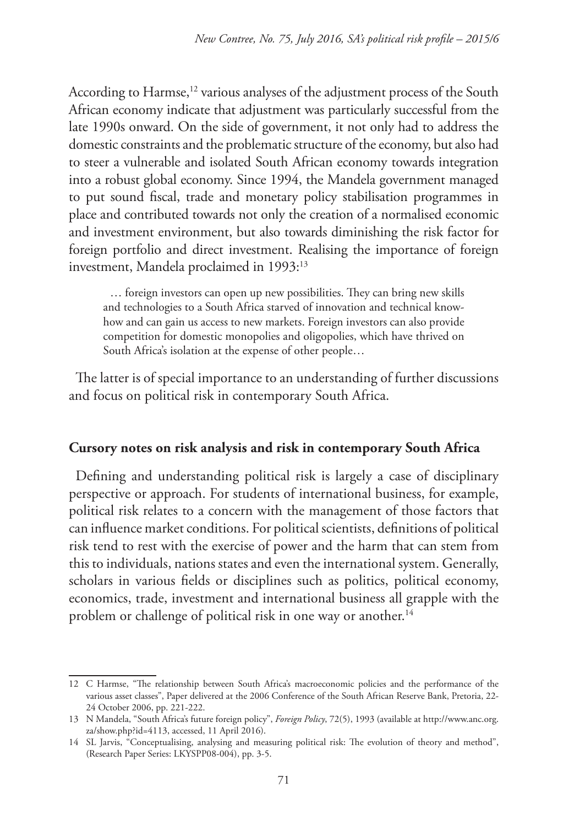According to Harmse,<sup>12</sup> various analyses of the adjustment process of the South African economy indicate that adjustment was particularly successful from the late 1990s onward. On the side of government, it not only had to address the domestic constraints and the problematic structure of the economy, but also had to steer a vulnerable and isolated South African economy towards integration into a robust global economy. Since 1994, the Mandela government managed to put sound fiscal, trade and monetary policy stabilisation programmes in place and contributed towards not only the creation of a normalised economic and investment environment, but also towards diminishing the risk factor for foreign portfolio and direct investment. Realising the importance of foreign investment, Mandela proclaimed in 1993:<sup>13</sup>

… foreign investors can open up new possibilities. They can bring new skills and technologies to a South Africa starved of innovation and technical knowhow and can gain us access to new markets. Foreign investors can also provide competition for domestic monopolies and oligopolies, which have thrived on South Africa's isolation at the expense of other people…

The latter is of special importance to an understanding of further discussions and focus on political risk in contemporary South Africa.

## **Cursory notes on risk analysis and risk in contemporary South Africa**

Defining and understanding political risk is largely a case of disciplinary perspective or approach. For students of international business, for example, political risk relates to a concern with the management of those factors that can influence market conditions. For political scientists, definitions of political risk tend to rest with the exercise of power and the harm that can stem from this to individuals, nations states and even the international system. Generally, scholars in various fields or disciplines such as politics, political economy, economics, trade, investment and international business all grapple with the problem or challenge of political risk in one way or another.<sup>14</sup>

<sup>12</sup> C Harmse, "The relationship between South Africa's macroeconomic policies and the performance of the various asset classes", Paper delivered at the 2006 Conference of the South African Reserve Bank, Pretoria, 22- 24 October 2006, pp. 221-222.

<sup>13</sup> N Mandela, "South Africa's future foreign policy", *Foreign Policy*, 72(5), 1993 (available at http://www.anc.org. za/show.php?id=4113, accessed, 11 April 2016).

<sup>14</sup> SL Jarvis, "Conceptualising, analysing and measuring political risk: The evolution of theory and method", (Research Paper Series: LKYSPP08-004), pp. 3-5.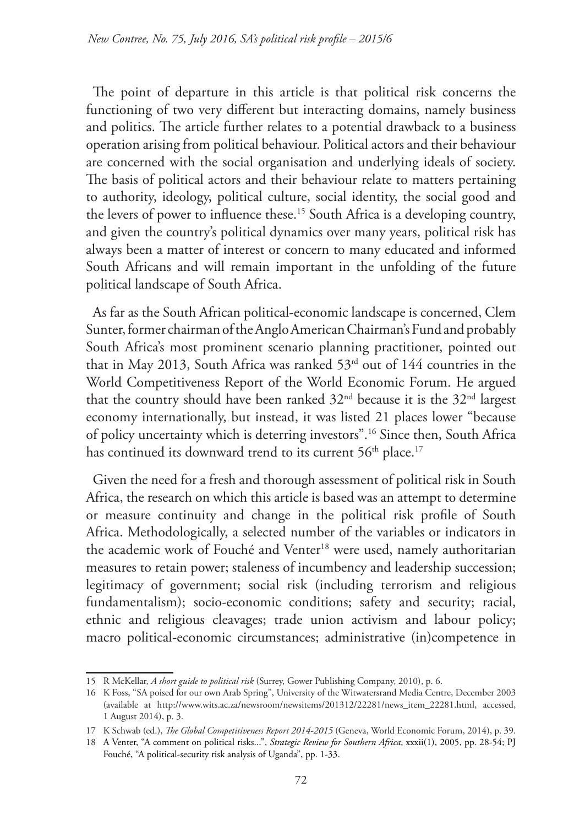The point of departure in this article is that political risk concerns the functioning of two very different but interacting domains, namely business and politics. The article further relates to a potential drawback to a business operation arising from political behaviour. Political actors and their behaviour are concerned with the social organisation and underlying ideals of society. The basis of political actors and their behaviour relate to matters pertaining to authority, ideology, political culture, social identity, the social good and the levers of power to influence these.<sup>15</sup> South Africa is a developing country, and given the country's political dynamics over many years, political risk has always been a matter of interest or concern to many educated and informed South Africans and will remain important in the unfolding of the future political landscape of South Africa.

As far as the South African political-economic landscape is concerned, Clem Sunter, former chairman of the Anglo American Chairman's Fund and probably South Africa's most prominent scenario planning practitioner, pointed out that in May 2013, South Africa was ranked 53rd out of 144 countries in the World Competitiveness Report of the World Economic Forum. He argued that the country should have been ranked  $32<sup>nd</sup>$  because it is the  $32<sup>nd</sup>$  largest economy internationally, but instead, it was listed 21 places lower "because of policy uncertainty which is deterring investors".16 Since then, South Africa has continued its downward trend to its current 56<sup>th</sup> place.<sup>17</sup>

Given the need for a fresh and thorough assessment of political risk in South Africa, the research on which this article is based was an attempt to determine or measure continuity and change in the political risk profile of South Africa. Methodologically, a selected number of the variables or indicators in the academic work of Fouché and Venter<sup>18</sup> were used, namely authoritarian measures to retain power; staleness of incumbency and leadership succession; legitimacy of government; social risk (including terrorism and religious fundamentalism); socio-economic conditions; safety and security; racial, ethnic and religious cleavages; trade union activism and labour policy; macro political-economic circumstances; administrative (in)competence in

<sup>15</sup> R McKellar, *A short guide to political risk* (Surrey, Gower Publishing Company, 2010), p. 6.

<sup>16</sup> K Foss, "SA poised for our own Arab Spring", University of the Witwatersrand Media Centre, December 2003 (available at http://www.wits.ac.za/newsroom/newsitems/201312/22281/news\_item\_22281.html, accessed, 1 August 2014), p. 3.

<sup>17</sup> K Schwab (ed.), *The Global Competitiveness Report 2014-2015* (Geneva, World Economic Forum, 2014), p. 39.

<sup>18</sup> A Venter, "A comment on political risks...", *Strategic Review for Southern Africa*, xxxii(1), 2005, pp. 28-54; PJ Fouché, "A political-security risk analysis of Uganda", pp. 1-33.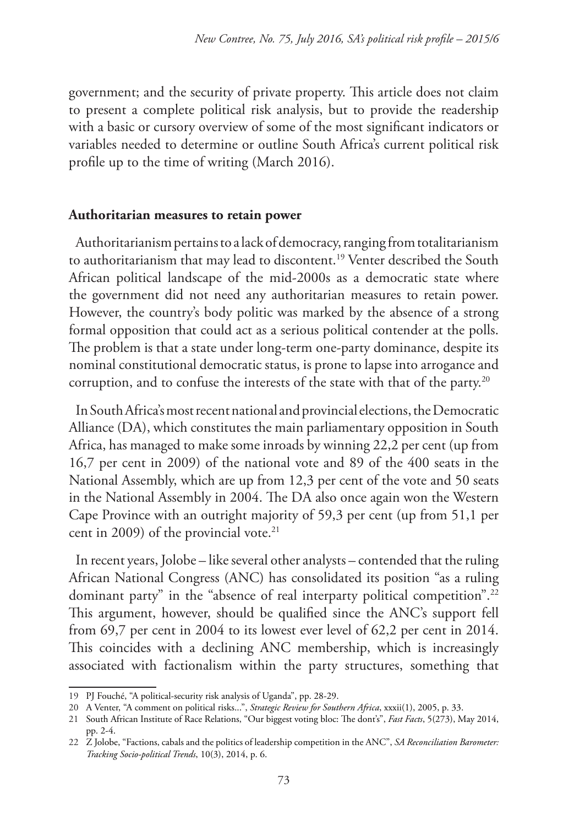government; and the security of private property. This article does not claim to present a complete political risk analysis, but to provide the readership with a basic or cursory overview of some of the most significant indicators or variables needed to determine or outline South Africa's current political risk profile up to the time of writing (March 2016).

#### **Authoritarian measures to retain power**

Authoritarianism pertains to a lack of democracy, ranging from totalitarianism to authoritarianism that may lead to discontent.19 Venter described the South African political landscape of the mid-2000s as a democratic state where the government did not need any authoritarian measures to retain power. However, the country's body politic was marked by the absence of a strong formal opposition that could act as a serious political contender at the polls. The problem is that a state under long-term one-party dominance, despite its nominal constitutional democratic status, is prone to lapse into arrogance and corruption, and to confuse the interests of the state with that of the party.20

In South Africa's most recent national and provincial elections, the Democratic Alliance (DA), which constitutes the main parliamentary opposition in South Africa, has managed to make some inroads by winning 22,2 per cent (up from 16,7 per cent in 2009) of the national vote and 89 of the 400 seats in the National Assembly, which are up from 12,3 per cent of the vote and 50 seats in the National Assembly in 2004. The DA also once again won the Western Cape Province with an outright majority of 59,3 per cent (up from 51,1 per cent in 2009) of the provincial vote. $21$ 

In recent years, Jolobe – like several other analysts – contended that the ruling African National Congress (ANC) has consolidated its position "as a ruling dominant party" in the "absence of real interparty political competition".<sup>22</sup> This argument, however, should be qualified since the ANC's support fell from 69,7 per cent in 2004 to its lowest ever level of 62,2 per cent in 2014. This coincides with a declining ANC membership, which is increasingly associated with factionalism within the party structures, something that

<sup>19</sup> PJ Fouché, "A political-security risk analysis of Uganda", pp. 28-29.

<sup>20</sup> A Venter, "A comment on political risks...", *Strategic Review for Southern Africa*, xxxii(1), 2005, p. 33.

<sup>21</sup> South African Institute of Race Relations, "Our biggest voting bloc: The dont's", *Fast Facts*, 5(273), May 2014, pp. 2-4.

<sup>22</sup> Z Jolobe, "Factions, cabals and the politics of leadership competition in the ANC", *SA Reconciliation Barometer: Tracking Socio-political Trends*, 10(3), 2014, p. 6.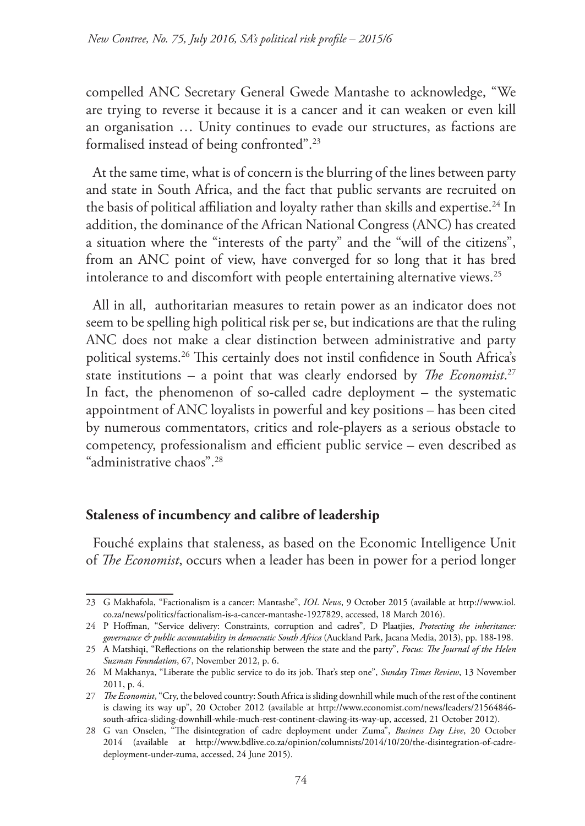compelled ANC Secretary General Gwede Mantashe to acknowledge, "We are trying to reverse it because it is a cancer and it can weaken or even kill an organisation … Unity continues to evade our structures, as factions are formalised instead of being confronted".23

At the same time, what is of concern is the blurring of the lines between party and state in South Africa, and the fact that public servants are recruited on the basis of political affiliation and loyalty rather than skills and expertise.<sup>24</sup> In addition, the dominance of the African National Congress (ANC) has created a situation where the "interests of the party" and the "will of the citizens", from an ANC point of view, have converged for so long that it has bred intolerance to and discomfort with people entertaining alternative views.<sup>25</sup>

All in all, authoritarian measures to retain power as an indicator does not seem to be spelling high political risk per se, but indications are that the ruling ANC does not make a clear distinction between administrative and party political systems.26 This certainly does not instil confidence in South Africa's state institutions – a point that was clearly endorsed by *The Economist*. 27 In fact, the phenomenon of so-called cadre deployment – the systematic appointment of ANC loyalists in powerful and key positions – has been cited by numerous commentators, critics and role-players as a serious obstacle to competency, professionalism and efficient public service – even described as "administrative chaos".28

# **Staleness of incumbency and calibre of leadership**

Fouché explains that staleness, as based on the Economic Intelligence Unit of *The Economist*, occurs when a leader has been in power for a period longer

<sup>23</sup> G Makhafola, "Factionalism is a cancer: Mantashe", *IOL News*, 9 October 2015 (available at http://www.iol. co.za/news/politics/factionalism-is-a-cancer-mantashe-1927829, accessed, 18 March 2016).

<sup>24</sup> P Hoffman, "Service delivery: Constraints, corruption and cadres", D Plaatjies, *Protecting the inheritance: governance & public accountability in democratic South Africa* (Auckland Park, Jacana Media, 2013), pp. 188-198.

<sup>25</sup> A Matshiqi, "Reflections on the relationship between the state and the party", *Focus: The Journal of the Helen Suzman Foundation*, 67, November 2012, p. 6.

<sup>26</sup> M Makhanya, "Liberate the public service to do its job. That's step one", *Sunday Times Review*, 13 November 2011, p. 4.

<sup>27</sup> *The Economist*, "Cry, the beloved country: South Africa is sliding downhill while much of the rest of the continent is clawing its way up", 20 October 2012 (available at http://www.economist.com/news/leaders/21564846 south-africa-sliding-downhill-while-much-rest-continent-clawing-its-way-up, accessed, 21 October 2012).

<sup>28</sup> G van Onselen, "The disintegration of cadre deployment under Zuma", *Business Day Live*, 20 October 2014 (available at http://www.bdlive.co.za/opinion/columnists/2014/10/20/the-disintegration-of-cadredeployment-under-zuma, accessed, 24 June 2015).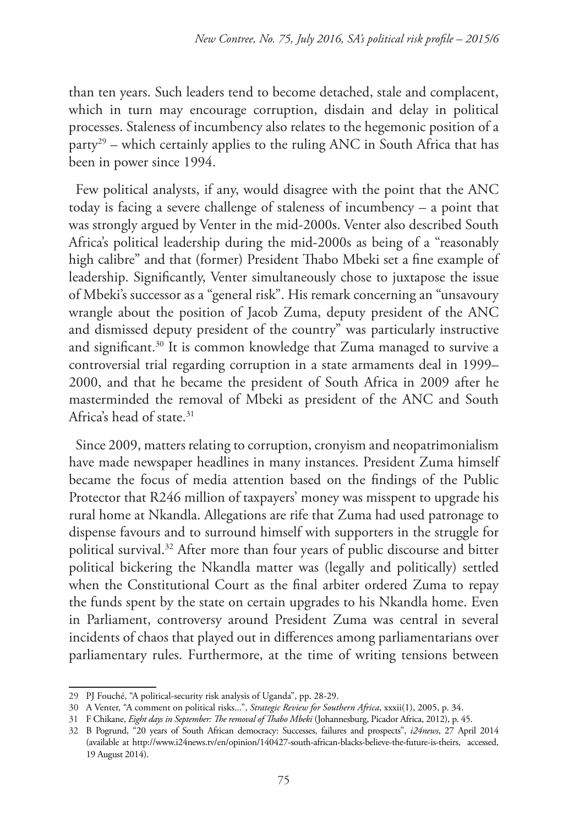than ten years. Such leaders tend to become detached, stale and complacent, which in turn may encourage corruption, disdain and delay in political processes. Staleness of incumbency also relates to the hegemonic position of a  $party<sup>29</sup>$  – which certainly applies to the ruling ANC in South Africa that has been in power since 1994.

Few political analysts, if any, would disagree with the point that the ANC today is facing a severe challenge of staleness of incumbency – a point that was strongly argued by Venter in the mid-2000s. Venter also described South Africa's political leadership during the mid-2000s as being of a "reasonably high calibre" and that (former) President Thabo Mbeki set a fine example of leadership. Significantly, Venter simultaneously chose to juxtapose the issue of Mbeki's successor as a "general risk". His remark concerning an "unsavoury wrangle about the position of Jacob Zuma, deputy president of the ANC and dismissed deputy president of the country" was particularly instructive and significant.30 It is common knowledge that Zuma managed to survive a controversial trial regarding corruption in a state armaments deal in 1999– 2000, and that he became the president of South Africa in 2009 after he masterminded the removal of Mbeki as president of the ANC and South Africa's head of state.31

Since 2009, matters relating to corruption, cronyism and neopatrimonialism have made newspaper headlines in many instances. President Zuma himself became the focus of media attention based on the findings of the Public Protector that R246 million of taxpayers' money was misspent to upgrade his rural home at Nkandla. Allegations are rife that Zuma had used patronage to dispense favours and to surround himself with supporters in the struggle for political survival.32 After more than four years of public discourse and bitter political bickering the Nkandla matter was (legally and politically) settled when the Constitutional Court as the final arbiter ordered Zuma to repay the funds spent by the state on certain upgrades to his Nkandla home. Even in Parliament, controversy around President Zuma was central in several incidents of chaos that played out in differences among parliamentarians over parliamentary rules. Furthermore, at the time of writing tensions between

<sup>29</sup> PJ Fouché, "A political-security risk analysis of Uganda", pp. 28-29.

<sup>30</sup> A Venter, "A comment on political risks...", *Strategic Review for Southern Africa*, xxxii(1), 2005, p. 34.

<sup>31</sup> F Chikane, *Eight days in September: The removal of Thabo Mbeki* (Johannesburg, Picador Africa, 2012), p. 45.

<sup>32</sup> B Pogrund, "20 years of South African democracy: Successes, failures and prospects", *i24news*, 27 April 2014 (available at http://www.i24news.tv/en/opinion/140427-south-african-blacks-believe-the-future-is-theirs, accessed, 19 August 2014).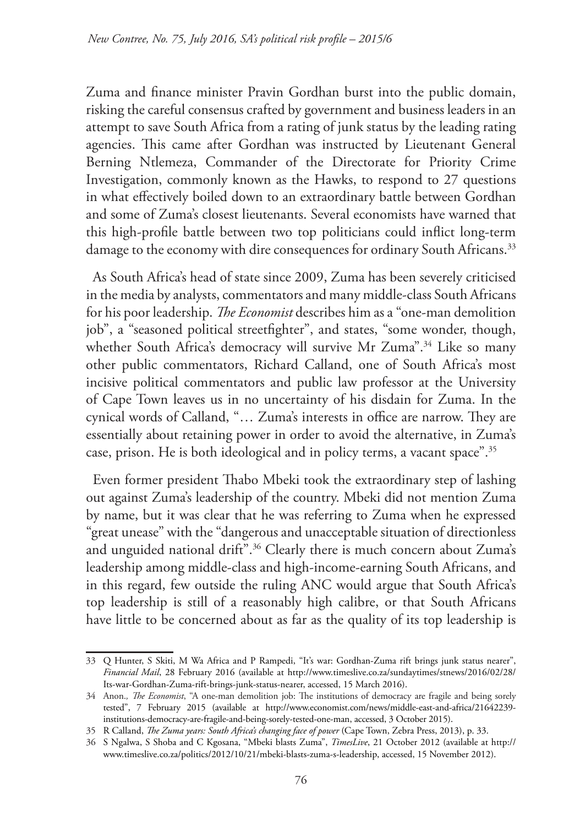Zuma and finance minister Pravin Gordhan burst into the public domain, risking the careful consensus crafted by government and business leaders in an attempt to save South Africa from a rating of junk status by the leading rating agencies. This came after Gordhan was instructed by Lieutenant General Berning Ntlemeza, Commander of the Directorate for Priority Crime Investigation, commonly known as the Hawks, to respond to 27 questions in what effectively boiled down to an extraordinary battle between Gordhan and some of Zuma's closest lieutenants. Several economists have warned that this high-profile battle between two top politicians could inflict long-term damage to the economy with dire consequences for ordinary South Africans.<sup>33</sup>

As South Africa's head of state since 2009, Zuma has been severely criticised in the media by analysts, commentators and many middle-class South Africans for his poor leadership. *The Economist* describes him as a "one-man demolition job", a "seasoned political streetfighter", and states, "some wonder, though, whether South Africa's democracy will survive Mr Zuma".<sup>34</sup> Like so many other public commentators, Richard Calland, one of South Africa's most incisive political commentators and public law professor at the University of Cape Town leaves us in no uncertainty of his disdain for Zuma. In the cynical words of Calland, "… Zuma's interests in office are narrow. They are essentially about retaining power in order to avoid the alternative, in Zuma's case, prison. He is both ideological and in policy terms, a vacant space".35

Even former president Thabo Mbeki took the extraordinary step of lashing out against Zuma's leadership of the country. Mbeki did not mention Zuma by name, but it was clear that he was referring to Zuma when he expressed "great unease" with the "dangerous and unacceptable situation of directionless and unguided national drift".<sup>36</sup> Clearly there is much concern about Zuma's leadership among middle-class and high-income-earning South Africans, and in this regard, few outside the ruling ANC would argue that South Africa's top leadership is still of a reasonably high calibre, or that South Africans have little to be concerned about as far as the quality of its top leadership is

<sup>33</sup> Q Hunter, S Skiti, M Wa Africa and P Rampedi, "It's war: Gordhan-Zuma rift brings junk status nearer", *Financial Mail*, 28 February 2016 (available at http://www.timeslive.co.za/sundaytimes/stnews/2016/02/28/ Its-war-Gordhan-Zuma-rift-brings-junk-status-nearer, accessed, 15 March 2016).

<sup>34</sup> Anon.*, The Economist*, "A one-man demolition job: The institutions of democracy are fragile and being sorely tested", 7 February 2015 (available at http://www.economist.com/news/middle-east-and-africa/21642239 institutions-democracy-are-fragile-and-being-sorely-tested-one-man, accessed, 3 October 2015).

<sup>35</sup> R Calland, *The Zuma years: South Africa's changing face of power* (Cape Town, Zebra Press, 2013), p. 33.

<sup>36</sup> S Ngalwa, S Shoba and C Kgosana, "Mbeki blasts Zuma", *TimesLive*, 21 October 2012 (available at http:// www.timeslive.co.za/politics/2012/10/21/mbeki-blasts-zuma-s-leadership, accessed, 15 November 2012).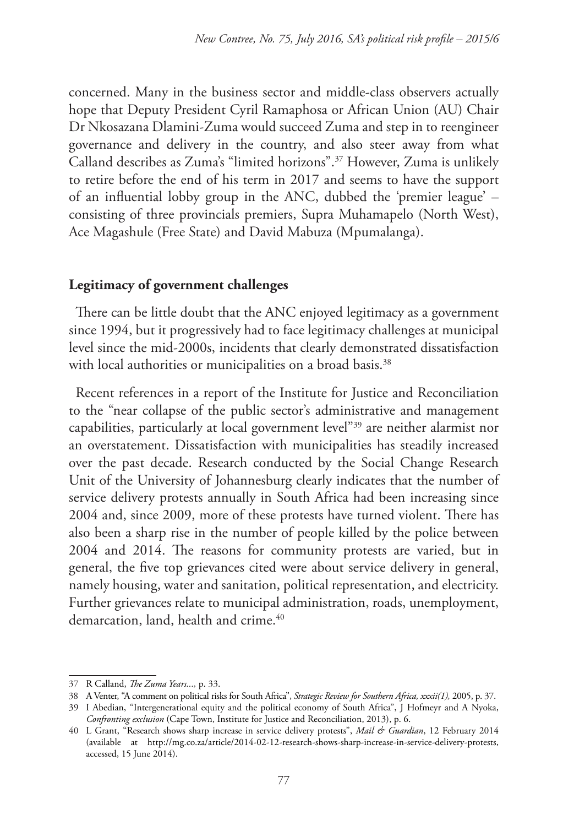concerned. Many in the business sector and middle-class observers actually hope that Deputy President Cyril Ramaphosa or African Union (AU) Chair Dr Nkosazana Dlamini-Zuma would succeed Zuma and step in to reengineer governance and delivery in the country, and also steer away from what Calland describes as Zuma's "limited horizons".37 However, Zuma is unlikely to retire before the end of his term in 2017 and seems to have the support of an influential lobby group in the ANC, dubbed the 'premier league' – consisting of three provincials premiers, Supra Muhamapelo (North West), Ace Magashule (Free State) and David Mabuza (Mpumalanga).

### **Legitimacy of government challenges**

There can be little doubt that the ANC enjoyed legitimacy as a government since 1994, but it progressively had to face legitimacy challenges at municipal level since the mid-2000s, incidents that clearly demonstrated dissatisfaction with local authorities or municipalities on a broad basis.<sup>38</sup>

Recent references in a report of the Institute for Justice and Reconciliation to the "near collapse of the public sector's administrative and management capabilities, particularly at local government level"39 are neither alarmist nor an overstatement. Dissatisfaction with municipalities has steadily increased over the past decade. Research conducted by the Social Change Research Unit of the University of Johannesburg clearly indicates that the number of service delivery protests annually in South Africa had been increasing since 2004 and, since 2009, more of these protests have turned violent. There has also been a sharp rise in the number of people killed by the police between 2004 and 2014. The reasons for community protests are varied, but in general, the five top grievances cited were about service delivery in general, namely housing, water and sanitation, political representation, and electricity. Further grievances relate to municipal administration, roads, unemployment, demarcation, land, health and crime.<sup>40</sup>

<sup>37</sup> R Calland, *The Zuma Years...,* p. 33.

<sup>38</sup> A Venter, "A comment on political risks for South Africa", *Strategic Review for Southern Africa, xxxii(1),* 2005, p. 37.

<sup>39</sup> I Abedian, "Intergenerational equity and the political economy of South Africa", J Hofmeyr and A Nyoka, *Confronting exclusion* (Cape Town, Institute for Justice and Reconciliation, 2013), p. 6.

<sup>40</sup> L Grant, "Research shows sharp increase in service delivery protests", *Mail & Guardian*, 12 February 2014 (available at http://mg.co.za/article/2014-02-12-research-shows-sharp-increase-in-service-delivery-protests, accessed, 15 June 2014).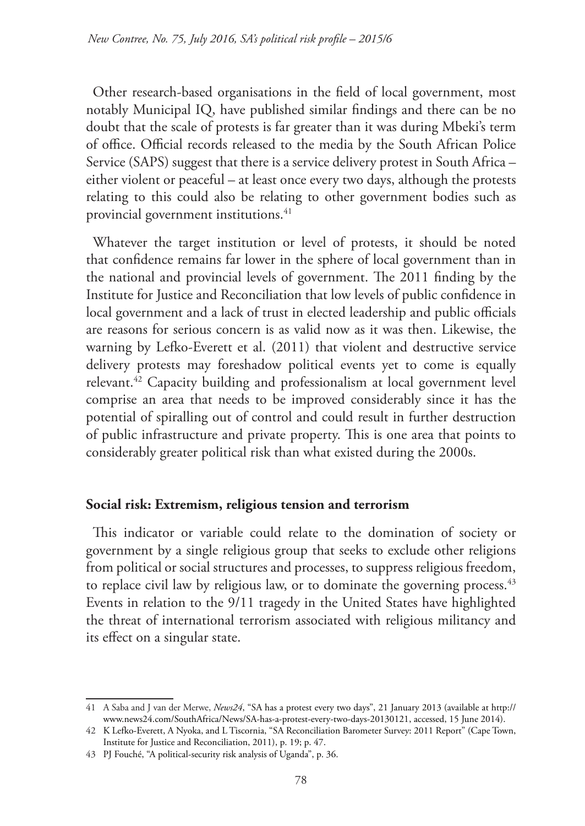Other research-based organisations in the field of local government, most notably Municipal IQ, have published similar findings and there can be no doubt that the scale of protests is far greater than it was during Mbeki's term of office. Official records released to the media by the South African Police Service (SAPS) suggest that there is a service delivery protest in South Africa – either violent or peaceful – at least once every two days, although the protests relating to this could also be relating to other government bodies such as provincial government institutions.<sup>41</sup>

Whatever the target institution or level of protests, it should be noted that confidence remains far lower in the sphere of local government than in the national and provincial levels of government. The 2011 finding by the Institute for Justice and Reconciliation that low levels of public confidence in local government and a lack of trust in elected leadership and public officials are reasons for serious concern is as valid now as it was then. Likewise, the warning by Lefko-Everett et al. (2011) that violent and destructive service delivery protests may foreshadow political events yet to come is equally relevant.42 Capacity building and professionalism at local government level comprise an area that needs to be improved considerably since it has the potential of spiralling out of control and could result in further destruction of public infrastructure and private property. This is one area that points to considerably greater political risk than what existed during the 2000s.

## **Social risk: Extremism, religious tension and terrorism**

This indicator or variable could relate to the domination of society or government by a single religious group that seeks to exclude other religions from political or social structures and processes, to suppress religious freedom, to replace civil law by religious law, or to dominate the governing process.<sup>43</sup> Events in relation to the 9/11 tragedy in the United States have highlighted the threat of international terrorism associated with religious militancy and its effect on a singular state.

<sup>41</sup> A Saba and J van der Merwe, *News24*, "SA has a protest every two days", 21 January 2013 (available at http:// www.news24.com/SouthAfrica/News/SA-has-a-protest-every-two-days-20130121, accessed, 15 June 2014).

<sup>42</sup> K Lefko-Everett, A Nyoka, and L Tiscornia, "SA Reconciliation Barometer Survey: 2011 Report" (Cape Town, Institute for Justice and Reconciliation, 2011), p. 19; p. 47.

<sup>43</sup> PJ Fouché, "A political-security risk analysis of Uganda", p. 36.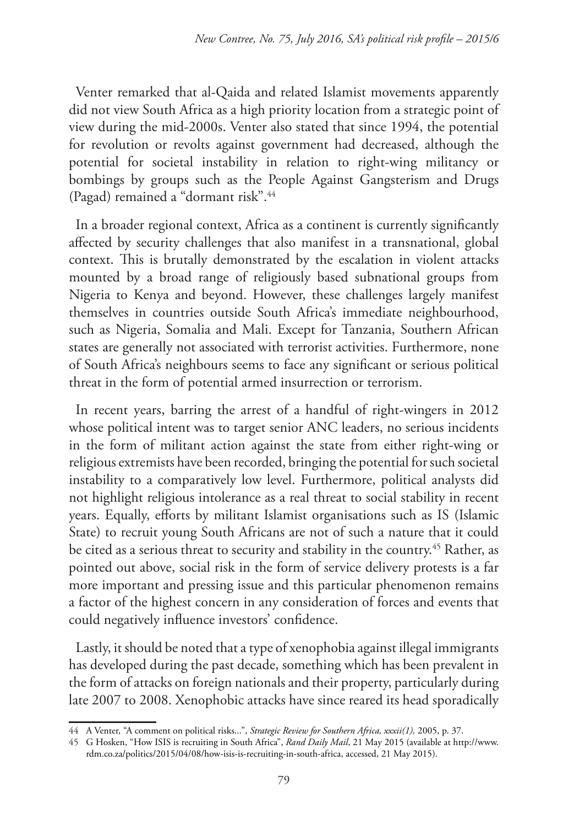Venter remarked that al-Qaida and related Islamist movements apparently did not view South Africa as a high priority location from a strategic point of view during the mid-2000s. Venter also stated that since 1994, the potential for revolution or revolts against government had decreased, although the potential for societal instability in relation to right-wing militancy or bombings by groups such as the People Against Gangsterism and Drugs (Pagad) remained a "dormant risk".44

In a broader regional context, Africa as a continent is currently significantly affected by security challenges that also manifest in a transnational, global context. This is brutally demonstrated by the escalation in violent attacks mounted by a broad range of religiously based subnational groups from Nigeria to Kenya and beyond. However, these challenges largely manifest themselves in countries outside South Africa's immediate neighbourhood, such as Nigeria, Somalia and Mali. Except for Tanzania, Southern African states are generally not associated with terrorist activities. Furthermore, none of South Africa's neighbours seems to face any significant or serious political threat in the form of potential armed insurrection or terrorism.

In recent years, barring the arrest of a handful of right-wingers in 2012 whose political intent was to target senior ANC leaders, no serious incidents in the form of militant action against the state from either right-wing or religious extremists have been recorded, bringing the potential for such societal instability to a comparatively low level. Furthermore, political analysts did not highlight religious intolerance as a real threat to social stability in recent years. Equally, efforts by militant Islamist organisations such as IS (Islamic State) to recruit young South Africans are not of such a nature that it could be cited as a serious threat to security and stability in the country.<sup>45</sup> Rather, as pointed out above, social risk in the form of service delivery protests is a far more important and pressing issue and this particular phenomenon remains a factor of the highest concern in any consideration of forces and events that could negatively influence investors' confidence.

Lastly, it should be noted that a type of xenophobia against illegal immigrants has developed during the past decade, something which has been prevalent in the form of attacks on foreign nationals and their property, particularly during late 2007 to 2008. Xenophobic attacks have since reared its head sporadically

<sup>44</sup> A Venter, "A comment on political risks...", *Strategic Review for Southern Africa, xxxii(1),* 2005, p. 37.

<sup>45</sup> G Hosken, "How ISIS is recruiting in South Africa", *Rand Daily Mail*, 21 May 2015 (available at http://www. rdm.co.za/politics/2015/04/08/how-isis-is-recruiting-in-south-africa, accessed, 21 May 2015).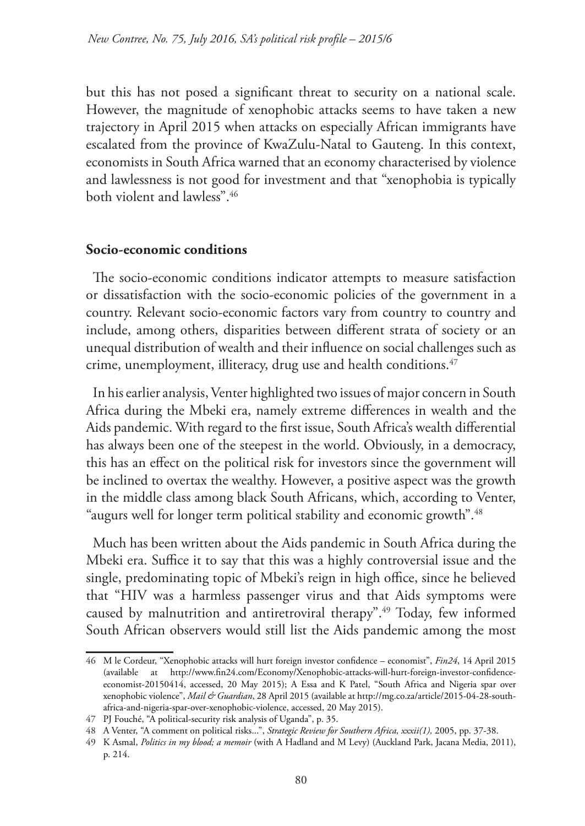but this has not posed a significant threat to security on a national scale. However, the magnitude of xenophobic attacks seems to have taken a new trajectory in April 2015 when attacks on especially African immigrants have escalated from the province of KwaZulu-Natal to Gauteng. In this context, economists in South Africa warned that an economy characterised by violence and lawlessness is not good for investment and that "xenophobia is typically both violent and lawless".46

#### **Socio-economic conditions**

The socio-economic conditions indicator attempts to measure satisfaction or dissatisfaction with the socio-economic policies of the government in a country. Relevant socio-economic factors vary from country to country and include, among others, disparities between different strata of society or an unequal distribution of wealth and their influence on social challenges such as crime, unemployment, illiteracy, drug use and health conditions.<sup>47</sup>

In his earlier analysis, Venter highlighted two issues of major concern in South Africa during the Mbeki era, namely extreme differences in wealth and the Aids pandemic. With regard to the first issue, South Africa's wealth differential has always been one of the steepest in the world. Obviously, in a democracy, this has an effect on the political risk for investors since the government will be inclined to overtax the wealthy. However, a positive aspect was the growth in the middle class among black South Africans, which, according to Venter, "augurs well for longer term political stability and economic growth".<sup>48</sup>

Much has been written about the Aids pandemic in South Africa during the Mbeki era. Suffice it to say that this was a highly controversial issue and the single, predominating topic of Mbeki's reign in high office, since he believed that "HIV was a harmless passenger virus and that Aids symptoms were caused by malnutrition and antiretroviral therapy".49 Today, few informed South African observers would still list the Aids pandemic among the most

<sup>46</sup> M le Cordeur, "Xenophobic attacks will hurt foreign investor confidence – economist", *Fin24*, 14 April 2015 (available at http://www.fin24.com/Economy/Xenophobic-attacks-will-hurt-foreign-investor-confidenceeconomist-20150414, accessed, 20 May 2015); A Essa and K Patel, "South Africa and Nigeria spar over xenophobic violence", *Mail & Guardian*, 28 April 2015 (available at http://mg.co.za/article/2015-04-28-southafrica-and-nigeria-spar-over-xenophobic-violence, accessed, 20 May 2015).

<sup>47</sup> PJ Fouché, "A political-security risk analysis of Uganda", p. 35.

<sup>48</sup> A Venter, "A comment on political risks...", *Strategic Review for Southern Africa, xxxii(1),* 2005, pp. 37-38.

<sup>49</sup> K Asmal, *Politics in my blood; a memoir* (with A Hadland and M Levy) (Auckland Park, Jacana Media, 2011), p. 214.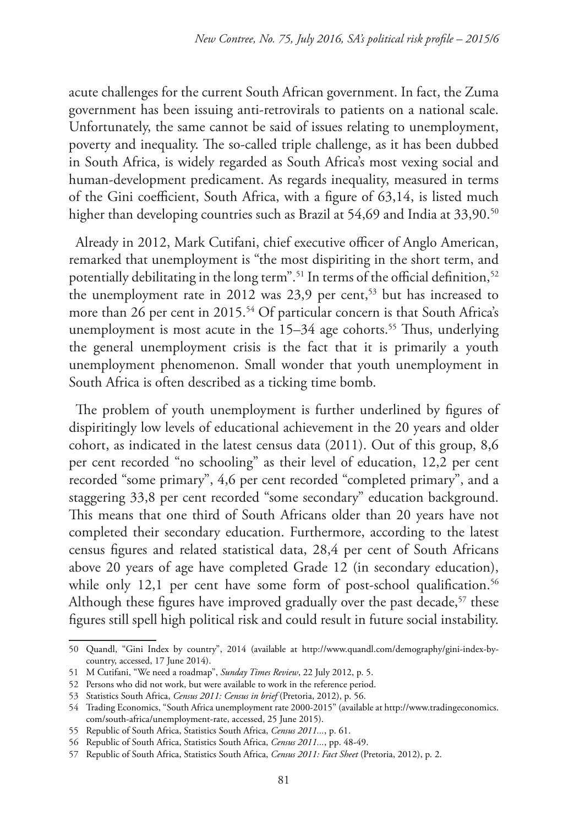acute challenges for the current South African government. In fact, the Zuma government has been issuing anti-retrovirals to patients on a national scale. Unfortunately, the same cannot be said of issues relating to unemployment, poverty and inequality. The so-called triple challenge, as it has been dubbed in South Africa, is widely regarded as South Africa's most vexing social and human-development predicament. As regards inequality, measured in terms of the Gini coefficient, South Africa, with a figure of 63,14, is listed much higher than developing countries such as Brazil at 54,69 and India at 33,90.<sup>50</sup>

Already in 2012, Mark Cutifani, chief executive officer of Anglo American, remarked that unemployment is "the most dispiriting in the short term, and potentially debilitating in the long term".<sup>51</sup> In terms of the official definition,<sup>52</sup> the unemployment rate in 2012 was  $23.9$  per cent,<sup>53</sup> but has increased to more than 26 per cent in 2015.<sup>54</sup> Of particular concern is that South Africa's unemployment is most acute in the 15–34 age cohorts.<sup>55</sup> Thus, underlying the general unemployment crisis is the fact that it is primarily a youth unemployment phenomenon. Small wonder that youth unemployment in South Africa is often described as a ticking time bomb.

The problem of youth unemployment is further underlined by figures of dispiritingly low levels of educational achievement in the 20 years and older cohort, as indicated in the latest census data (2011). Out of this group, 8,6 per cent recorded "no schooling" as their level of education, 12,2 per cent recorded "some primary", 4,6 per cent recorded "completed primary", and a staggering 33,8 per cent recorded "some secondary" education background. This means that one third of South Africans older than 20 years have not completed their secondary education. Furthermore, according to the latest census figures and related statistical data, 28,4 per cent of South Africans above 20 years of age have completed Grade 12 (in secondary education), while only 12,1 per cent have some form of post-school qualification.<sup>56</sup> Although these figures have improved gradually over the past decade,<sup>57</sup> these figures still spell high political risk and could result in future social instability.

<sup>50</sup> Quandl, "Gini Index by country", 2014 (available at http://www.quandl.com/demography/gini-index-bycountry, accessed, 17 June 2014).

<sup>51</sup> M Cutifani, "We need a roadmap", *Sunday Times Review*, 22 July 2012, p. 5.

<sup>52</sup> Persons who did not work, but were available to work in the reference period.

<sup>53</sup> Statistics South Africa, *Census 2011: Census in brief* (Pretoria, 2012), p. 56.

<sup>54</sup> Trading Economics, "South Africa unemployment rate 2000-2015" (available at http://www.tradingeconomics. com/south-africa/unemployment-rate, accessed, 25 June 2015).

<sup>55</sup> Republic of South Africa, Statistics South Africa, *Census 2011...*, p. 61.

<sup>56</sup> Republic of South Africa, Statistics South Africa, *Census 2011...*, pp. 48-49.

<sup>57</sup> Republic of South Africa, Statistics South Africa, *Census 2011: Fact Sheet* (Pretoria, 2012), p. 2.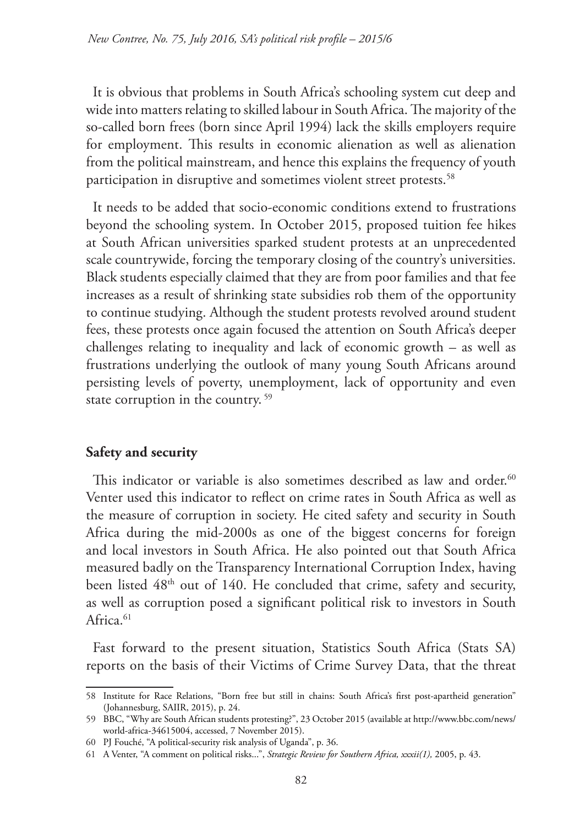It is obvious that problems in South Africa's schooling system cut deep and wide into matters relating to skilled labour in South Africa. The majority of the so-called born frees (born since April 1994) lack the skills employers require for employment. This results in economic alienation as well as alienation from the political mainstream, and hence this explains the frequency of youth participation in disruptive and sometimes violent street protests.<sup>58</sup>

It needs to be added that socio-economic conditions extend to frustrations beyond the schooling system. In October 2015, proposed tuition fee hikes at South African universities sparked student protests at an unprecedented scale countrywide, forcing the temporary closing of the country's universities. Black students especially claimed that they are from poor families and that fee increases as a result of shrinking state subsidies rob them of the opportunity to continue studying. Although the student protests revolved around student fees, these protests once again focused the attention on South Africa's deeper challenges relating to inequality and lack of economic growth – as well as frustrations underlying the outlook of many young South Africans around persisting levels of poverty, unemployment, lack of opportunity and even state corruption in the country.<sup>59</sup>

## **Safety and security**

This indicator or variable is also sometimes described as law and order.<sup>60</sup> Venter used this indicator to reflect on crime rates in South Africa as well as the measure of corruption in society. He cited safety and security in South Africa during the mid-2000s as one of the biggest concerns for foreign and local investors in South Africa. He also pointed out that South Africa measured badly on the Transparency International Corruption Index, having been listed  $48<sup>th</sup>$  out of 140. He concluded that crime, safety and security, as well as corruption posed a significant political risk to investors in South Africa.<sup>61</sup>

Fast forward to the present situation, Statistics South Africa (Stats SA) reports on the basis of their Victims of Crime Survey Data, that the threat

<sup>58</sup> Institute for Race Relations, "Born free but still in chains: South Africa's first post-apartheid generation" (Johannesburg, SAIIR, 2015), p. 24.

<sup>59</sup> BBC, "Why are South African students protesting?", 23 October 2015 (available at http://www.bbc.com/news/ world-africa-34615004, accessed, 7 November 2015).

<sup>60</sup> PJ Fouché, "A political-security risk analysis of Uganda", p. 36.

<sup>61</sup> A Venter, "A comment on political risks...", *Strategic Review for Southern Africa, xxxii(1),* 2005, p. 43.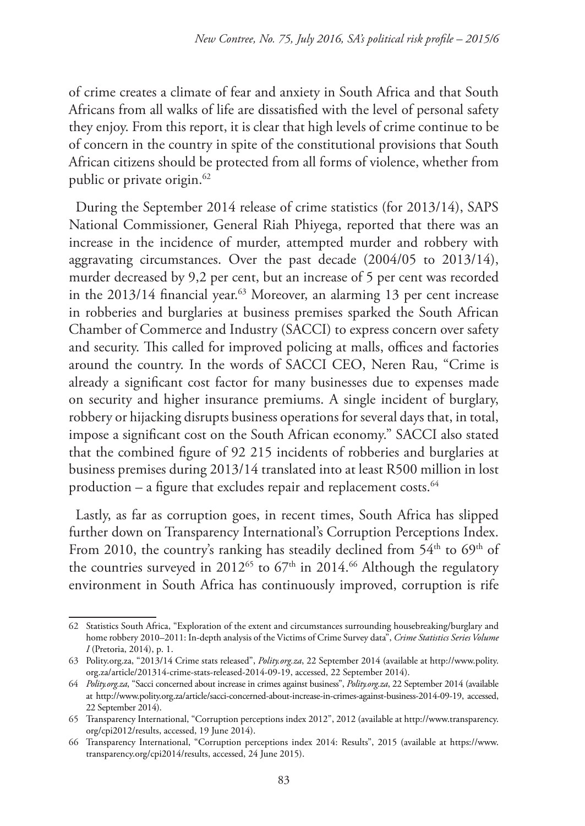of crime creates a climate of fear and anxiety in South Africa and that South Africans from all walks of life are dissatisfied with the level of personal safety they enjoy. From this report, it is clear that high levels of crime continue to be of concern in the country in spite of the constitutional provisions that South African citizens should be protected from all forms of violence, whether from public or private origin.<sup>62</sup>

During the September 2014 release of crime statistics (for 2013/14), SAPS National Commissioner, General Riah Phiyega, reported that there was an increase in the incidence of murder, attempted murder and robbery with aggravating circumstances. Over the past decade (2004/05 to 2013/14), murder decreased by 9,2 per cent, but an increase of 5 per cent was recorded in the 2013/14 financial year.<sup>63</sup> Moreover, an alarming 13 per cent increase in robberies and burglaries at business premises sparked the South African Chamber of Commerce and Industry (SACCI) to express concern over safety and security. This called for improved policing at malls, offices and factories around the country. In the words of SACCI CEO, Neren Rau, "Crime is already a significant cost factor for many businesses due to expenses made on security and higher insurance premiums. A single incident of burglary, robbery or hijacking disrupts business operations for several days that, in total, impose a significant cost on the South African economy." SACCI also stated that the combined figure of 92 215 incidents of robberies and burglaries at business premises during 2013/14 translated into at least R500 million in lost production – a figure that excludes repair and replacement costs. $64$ 

Lastly, as far as corruption goes, in recent times, South Africa has slipped further down on Transparency International's Corruption Perceptions Index. From 2010, the country's ranking has steadily declined from  $54<sup>th</sup>$  to  $69<sup>th</sup>$  of the countries surveyed in 2012<sup>65</sup> to  $67<sup>th</sup>$  in 2014.<sup>66</sup> Although the regulatory environment in South Africa has continuously improved, corruption is rife

<sup>62</sup> Statistics South Africa, "Exploration of the extent and circumstances surrounding housebreaking/burglary and home robbery 2010–2011: In-depth analysis of the Victims of Crime Survey data", *Crime Statistics Series Volume I* (Pretoria, 2014), p. 1.

<sup>63</sup> Polity.org.za, "2013/14 Crime stats released", *Polity.org.za*, 22 September 2014 (available at http://www.polity. org.za/article/201314-crime-stats-released-2014-09-19, accessed, 22 September 2014).

<sup>64</sup> *Polity.org.za*, "Sacci concerned about increase in crimes against business", *Polity.org.za*, 22 September 2014 (available at http://www.polity.org.za/article/sacci-concerned-about-increase-in-crimes-against-business-2014-09-19, accessed, 22 September 2014).

<sup>65</sup> Transparency International, "Corruption perceptions index 2012", 2012 (available at http://www.transparency. org/cpi2012/results, accessed, 19 June 2014).

<sup>66</sup> Transparency International, "Corruption perceptions index 2014: Results", 2015 (available at https://www. transparency.org/cpi2014/results, accessed, 24 June 2015).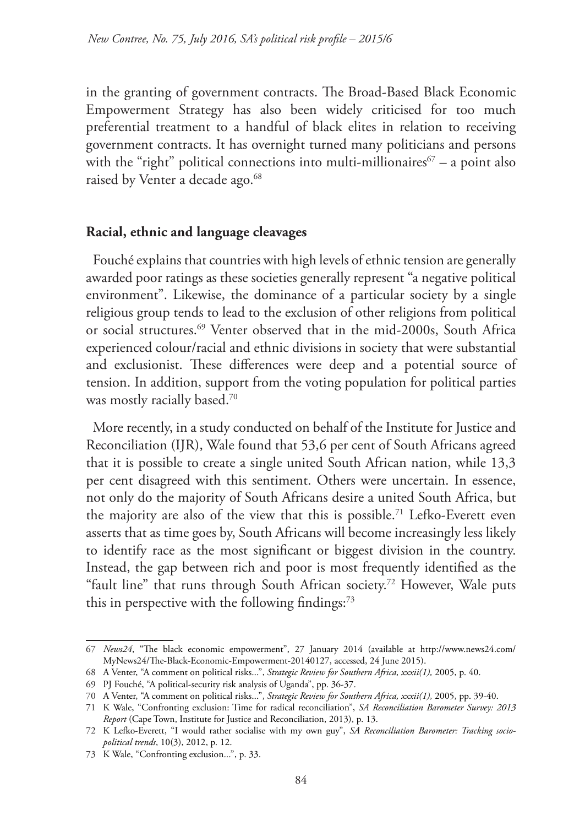in the granting of government contracts. The Broad-Based Black Economic Empowerment Strategy has also been widely criticised for too much preferential treatment to a handful of black elites in relation to receiving government contracts. It has overnight turned many politicians and persons with the "right" political connections into multi-millionaires  $\sigma$  – a point also raised by Venter a decade ago.<sup>68</sup>

#### **Racial, ethnic and language cleavages**

Fouché explains that countries with high levels of ethnic tension are generally awarded poor ratings as these societies generally represent "a negative political environment". Likewise, the dominance of a particular society by a single religious group tends to lead to the exclusion of other religions from political or social structures.<sup>69</sup> Venter observed that in the mid-2000s, South Africa experienced colour/racial and ethnic divisions in society that were substantial and exclusionist. These differences were deep and a potential source of tension. In addition, support from the voting population for political parties was mostly racially based.70

More recently, in a study conducted on behalf of the Institute for Justice and Reconciliation (IJR), Wale found that 53,6 per cent of South Africans agreed that it is possible to create a single united South African nation, while 13,3 per cent disagreed with this sentiment. Others were uncertain. In essence, not only do the majority of South Africans desire a united South Africa, but the majority are also of the view that this is possible.<sup>71</sup> Lefko-Everett even asserts that as time goes by, South Africans will become increasingly less likely to identify race as the most significant or biggest division in the country. Instead, the gap between rich and poor is most frequently identified as the "fault line" that runs through South African society.<sup>72</sup> However, Wale puts this in perspective with the following findings: $73$ 

<sup>67</sup> *News24*, "The black economic empowerment", 27 January 2014 (available at http://www.news24.com/ MyNews24/The-Black-Economic-Empowerment-20140127, accessed, 24 June 2015).

<sup>68</sup> A Venter, "A comment on political risks...", *Strategic Review for Southern Africa, xxxii(1),* 2005, p. 40.

<sup>69</sup> PJ Fouché, "A political-security risk analysis of Uganda", pp. 36-37.

<sup>70</sup> A Venter, "A comment on political risks...", *Strategic Review for Southern Africa, xxxii(1),* 2005, pp. 39-40.

<sup>71</sup> K Wale, "Confronting exclusion: Time for radical reconciliation", *SA Reconciliation Barometer Survey: 2013 Report* (Cape Town, Institute for Justice and Reconciliation, 2013), p. 13.

<sup>72</sup> K Lefko-Everett, "I would rather socialise with my own guy", *SA Reconciliation Barometer: Tracking sociopolitical trends*, 10(3), 2012, p. 12.

<sup>73</sup> K Wale, "Confronting exclusion...", p. 33.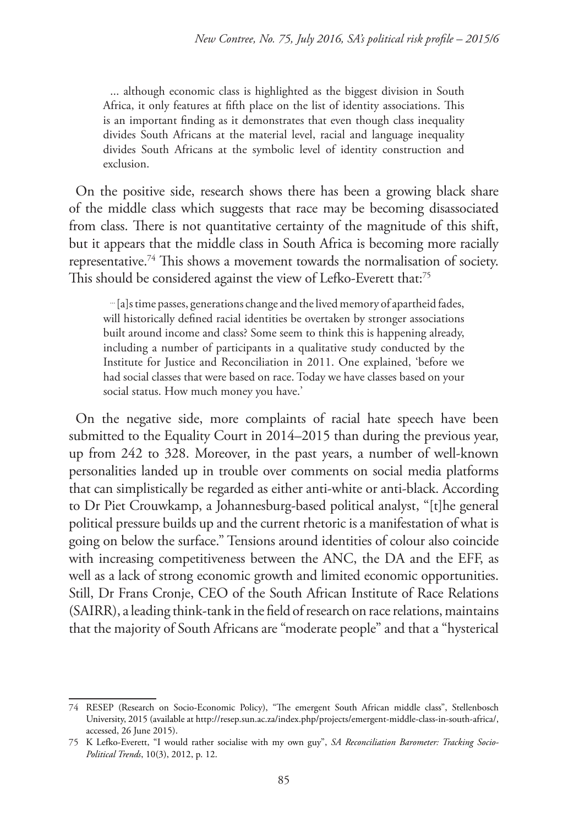... although economic class is highlighted as the biggest division in South Africa, it only features at fifth place on the list of identity associations. This is an important finding as it demonstrates that even though class inequality divides South Africans at the material level, racial and language inequality divides South Africans at the symbolic level of identity construction and exclusion.

On the positive side, research shows there has been a growing black share of the middle class which suggests that race may be becoming disassociated from class. There is not quantitative certainty of the magnitude of this shift, but it appears that the middle class in South Africa is becoming more racially representative.74 This shows a movement towards the normalisation of society. This should be considered against the view of Lefko-Everett that:<sup>75</sup>

... [a]s time passes, generations change and the lived memory of apartheid fades, will historically defined racial identities be overtaken by stronger associations built around income and class? Some seem to think this is happening already, including a number of participants in a qualitative study conducted by the Institute for Justice and Reconciliation in 2011. One explained, 'before we had social classes that were based on race. Today we have classes based on your social status. How much money you have.'

On the negative side, more complaints of racial hate speech have been submitted to the Equality Court in 2014–2015 than during the previous year, up from 242 to 328. Moreover, in the past years, a number of well-known personalities landed up in trouble over comments on social media platforms that can simplistically be regarded as either anti-white or anti-black. According to Dr Piet Crouwkamp, a Johannesburg-based political analyst, "[t]he general political pressure builds up and the current rhetoric is a manifestation of what is going on below the surface." Tensions around identities of colour also coincide with increasing competitiveness between the ANC, the DA and the EFF, as well as a lack of strong economic growth and limited economic opportunities. Still, Dr Frans Cronje, CEO of the South African Institute of Race Relations (SAIRR), a leading think-tank in the field of research on race relations, maintains that the majority of South Africans are "moderate people" and that a "hysterical

<sup>74</sup> RESEP (Research on Socio-Economic Policy), "The emergent South African middle class", Stellenbosch University, 2015 (available at http://resep.sun.ac.za/index.php/projects/emergent-middle-class-in-south-africa/, accessed, 26 June 2015).

<sup>75</sup> K Lefko-Everett, "I would rather socialise with my own guy", *SA Reconciliation Barometer: Tracking Socio-Political Trends*, 10(3), 2012, p. 12.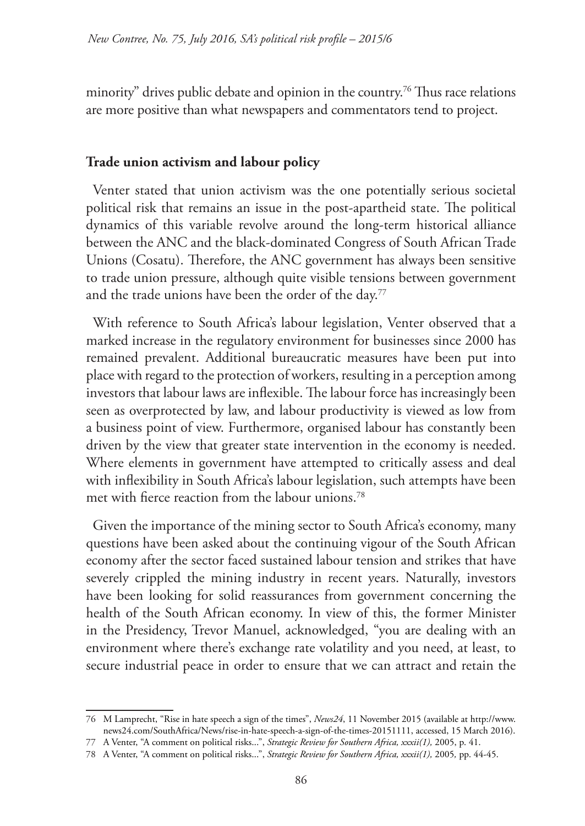minority" drives public debate and opinion in the country.<sup>76</sup> Thus race relations are more positive than what newspapers and commentators tend to project.

#### **Trade union activism and labour policy**

Venter stated that union activism was the one potentially serious societal political risk that remains an issue in the post-apartheid state. The political dynamics of this variable revolve around the long-term historical alliance between the ANC and the black-dominated Congress of South African Trade Unions (Cosatu). Therefore, the ANC government has always been sensitive to trade union pressure, although quite visible tensions between government and the trade unions have been the order of the day.<sup>77</sup>

With reference to South Africa's labour legislation, Venter observed that a marked increase in the regulatory environment for businesses since 2000 has remained prevalent. Additional bureaucratic measures have been put into place with regard to the protection of workers, resulting in a perception among investors that labour laws are inflexible. The labour force has increasingly been seen as overprotected by law, and labour productivity is viewed as low from a business point of view. Furthermore, organised labour has constantly been driven by the view that greater state intervention in the economy is needed. Where elements in government have attempted to critically assess and deal with inflexibility in South Africa's labour legislation, such attempts have been met with fierce reaction from the labour unions.<sup>78</sup>

Given the importance of the mining sector to South Africa's economy, many questions have been asked about the continuing vigour of the South African economy after the sector faced sustained labour tension and strikes that have severely crippled the mining industry in recent years. Naturally, investors have been looking for solid reassurances from government concerning the health of the South African economy. In view of this, the former Minister in the Presidency, Trevor Manuel, acknowledged, "you are dealing with an environment where there's exchange rate volatility and you need, at least, to secure industrial peace in order to ensure that we can attract and retain the

<sup>76</sup> M Lamprecht, "Rise in hate speech a sign of the times", *News24*, 11 November 2015 (available at http://www. news24.com/SouthAfrica/News/rise-in-hate-speech-a-sign-of-the-times-20151111, accessed, 15 March 2016).

<sup>77</sup> A Venter, "A comment on political risks...", *Strategic Review for Southern Africa, xxxii(1),* 2005, p. 41.

<sup>78</sup> A Venter, "A comment on political risks...", *Strategic Review for Southern Africa, xxxii(1),* 2005*,* pp. 44-45.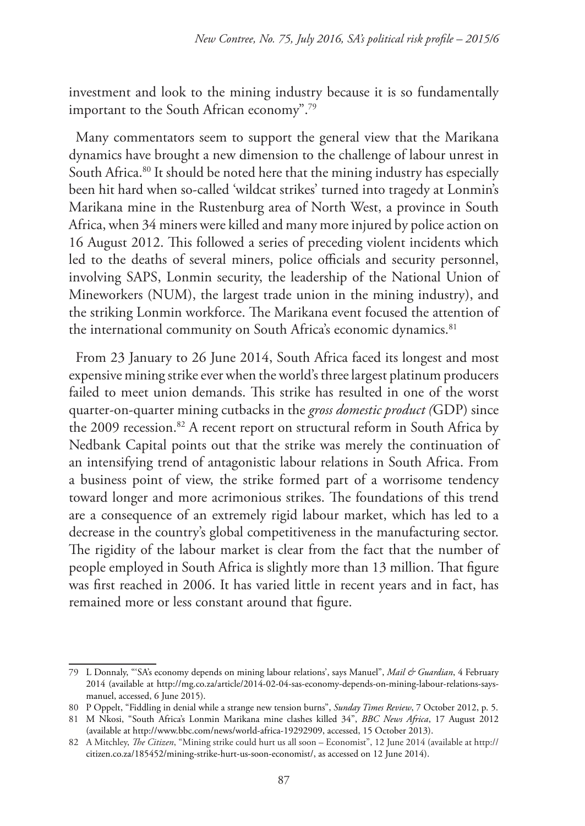investment and look to the mining industry because it is so fundamentally important to the South African economy".79

Many commentators seem to support the general view that the Marikana dynamics have brought a new dimension to the challenge of labour unrest in South Africa.<sup>80</sup> It should be noted here that the mining industry has especially been hit hard when so-called 'wildcat strikes' turned into tragedy at Lonmin's Marikana mine in the Rustenburg area of North West, a province in South Africa, when 34 miners were killed and many more injured by police action on 16 August 2012. This followed a series of preceding violent incidents which led to the deaths of several miners, police officials and security personnel, involving SAPS, Lonmin security, the leadership of the National Union of Mineworkers (NUM), the largest trade union in the mining industry), and the striking Lonmin workforce. The Marikana event focused the attention of the international community on South Africa's economic dynamics.<sup>81</sup>

From 23 January to 26 June 2014, South Africa faced its longest and most expensive mining strike ever when the world's three largest platinum producers failed to meet union demands. This strike has resulted in one of the worst quarter-on-quarter mining cutbacks in the *gross domestic product (*GDP) since the 2009 recession.<sup>82</sup> A recent report on structural reform in South Africa by Nedbank Capital points out that the strike was merely the continuation of an intensifying trend of antagonistic labour relations in South Africa. From a business point of view, the strike formed part of a worrisome tendency toward longer and more acrimonious strikes. The foundations of this trend are a consequence of an extremely rigid labour market, which has led to a decrease in the country's global competitiveness in the manufacturing sector. The rigidity of the labour market is clear from the fact that the number of people employed in South Africa is slightly more than 13 million. That figure was first reached in 2006. It has varied little in recent years and in fact, has remained more or less constant around that figure.

<sup>79</sup> L Donnaly, "'SA's economy depends on mining labour relations', says Manuel", *Mail & Guardian*, 4 February 2014 (available at http://mg.co.za/article/2014-02-04-sas-economy-depends-on-mining-labour-relations-saysmanuel, accessed, 6 June 2015).

<sup>80</sup> P Oppelt, "Fiddling in denial while a strange new tension burns", *Sunday Times Review*, 7 October 2012, p. 5.

<sup>81</sup> M Nkosi, "South Africa's Lonmin Marikana mine clashes killed 34", *BBC News Africa*, 17 August 2012 (available at http://www.bbc.com/news/world-africa-19292909, accessed, 15 October 2013).

<sup>82</sup> A Mitchley, *The Citizen*, "Mining strike could hurt us all soon – Economist", 12 June 2014 (available at http:// citizen.co.za/185452/mining-strike-hurt-us-soon-economist/, as accessed on 12 June 2014).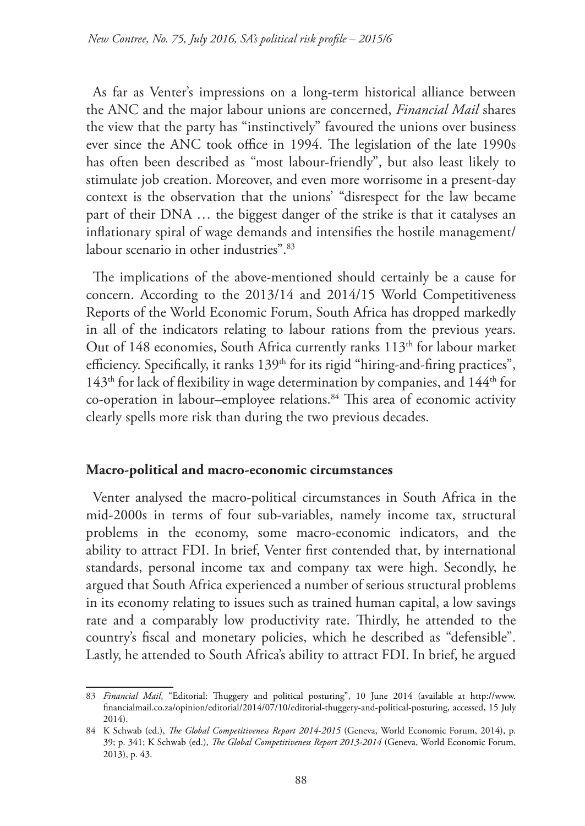As far as Venter's impressions on a long-term historical alliance between the ANC and the major labour unions are concerned, *Financial Mail* shares the view that the party has "instinctively" favoured the unions over business ever since the ANC took office in 1994. The legislation of the late 1990s has often been described as "most labour-friendly", but also least likely to stimulate job creation. Moreover, and even more worrisome in a present-day context is the observation that the unions' "disrespect for the law became part of their DNA … the biggest danger of the strike is that it catalyses an inflationary spiral of wage demands and intensifies the hostile management/ labour scenario in other industries".<sup>83</sup>

The implications of the above-mentioned should certainly be a cause for concern. According to the 2013/14 and 2014/15 World Competitiveness Reports of the World Economic Forum, South Africa has dropped markedly in all of the indicators relating to labour rations from the previous years. Out of 148 economies, South Africa currently ranks 113<sup>th</sup> for labour market efficiency. Specifically, it ranks  $139<sup>th</sup>$  for its rigid "hiring-and-firing practices",  $143<sup>th</sup>$  for lack of flexibility in wage determination by companies, and  $144<sup>th</sup>$  for co-operation in labour–employee relations.<sup>84</sup> This area of economic activity clearly spells more risk than during the two previous decades.

#### **Macro-political and macro-economic circumstances**

Venter analysed the macro-political circumstances in South Africa in the mid-2000s in terms of four sub-variables, namely income tax, structural problems in the economy, some macro-economic indicators, and the ability to attract FDI. In brief, Venter first contended that, by international standards, personal income tax and company tax were high. Secondly, he argued that South Africa experienced a number of serious structural problems in its economy relating to issues such as trained human capital, a low savings rate and a comparably low productivity rate. Thirdly, he attended to the country's fiscal and monetary policies, which he described as "defensible". Lastly, he attended to South Africa's ability to attract FDI. In brief, he argued

<sup>83</sup> *Financial Mail*, "Editorial: Thuggery and political posturing", 10 June 2014 (available at http://www. financialmail.co.za/opinion/editorial/2014/07/10/editorial-thuggery-and-political-posturing, accessed, 15 July 2014).

<sup>84</sup> K Schwab (ed.), *The Global Competitiveness Report 2014-2015* (Geneva, World Economic Forum, 2014), p. 39; p. 341; K Schwab (ed.), *The Global Competitiveness Report 2013-2014* (Geneva, World Economic Forum, 2013), p. 43.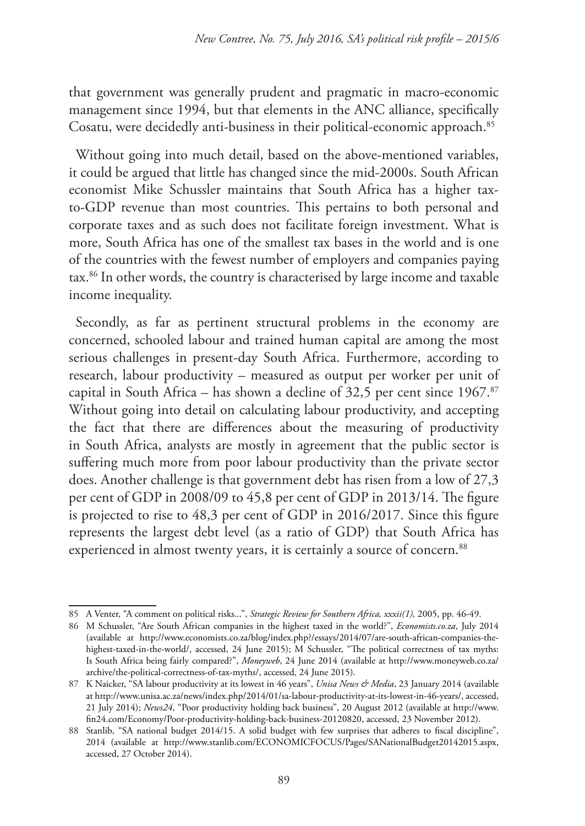that government was generally prudent and pragmatic in macro-economic management since 1994, but that elements in the ANC alliance, specifically Cosatu, were decidedly anti-business in their political-economic approach.85

Without going into much detail, based on the above-mentioned variables, it could be argued that little has changed since the mid-2000s. South African economist Mike Schussler maintains that South Africa has a higher taxto-GDP revenue than most countries. This pertains to both personal and corporate taxes and as such does not facilitate foreign investment. What is more, South Africa has one of the smallest tax bases in the world and is one of the countries with the fewest number of employers and companies paying tax.86 In other words, the country is characterised by large income and taxable income inequality.

Secondly, as far as pertinent structural problems in the economy are concerned, schooled labour and trained human capital are among the most serious challenges in present-day South Africa. Furthermore, according to research, labour productivity – measured as output per worker per unit of capital in South Africa – has shown a decline of  $32,5$  per cent since  $1967$ .<sup>87</sup> Without going into detail on calculating labour productivity, and accepting the fact that there are differences about the measuring of productivity in South Africa, analysts are mostly in agreement that the public sector is suffering much more from poor labour productivity than the private sector does. Another challenge is that government debt has risen from a low of 27,3 per cent of GDP in 2008/09 to 45,8 per cent of GDP in 2013/14. The figure is projected to rise to 48,3 per cent of GDP in 2016/2017. Since this figure represents the largest debt level (as a ratio of GDP) that South Africa has experienced in almost twenty years, it is certainly a source of concern.<sup>88</sup>

<sup>85</sup> A Venter, "A comment on political risks...", *Strategic Review for Southern Africa, xxxii(1),* 2005, pp. 46-49.

<sup>86</sup> M Schussler, "Are South African companies in the highest taxed in the world?", *Economists.co.za*, July 2014 (available at http://www.economists.co.za/blog/index.php?/essays/2014/07/are-south-african-companies-thehighest-taxed-in-the-world/, accessed, 24 June 2015); M Schussler, "The political correctness of tax myths: Is South Africa being fairly compared?", *Moneyweb*, 24 June 2014 (available at http://www.moneyweb.co.za/ archive/the-political-correctness-of-tax-myths/, accessed, 24 June 2015).

<sup>87</sup> K Naicker, "SA labour productivity at its lowest in 46 years", *Unisa News & Media*, 23 January 2014 (available at http://www.unisa.ac.za/news/index.php/2014/01/sa-labour-productivity-at-its-lowest-in-46-years/, accessed, 21 July 2014); *News24*, "Poor productivity holding back business", 20 August 2012 (available at http://www. fin24.com/Economy/Poor-productivity-holding-back-business-20120820, accessed, 23 November 2012).

<sup>88</sup> Stanlib, "SA national budget 2014/15. A solid budget with few surprises that adheres to fiscal discipline", 2014 (available at http://www.stanlib.com/ECONOMICFOCUS/Pages/SANationalBudget20142015.aspx, accessed, 27 October 2014).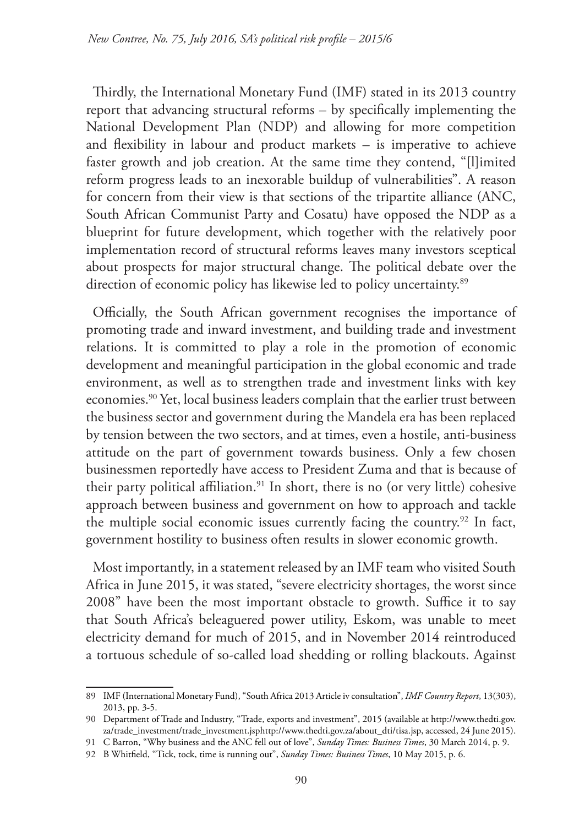Thirdly, the International Monetary Fund (IMF) stated in its 2013 country report that advancing structural reforms – by specifically implementing the National Development Plan (NDP) and allowing for more competition and flexibility in labour and product markets – is imperative to achieve faster growth and job creation. At the same time they contend, "[l]imited reform progress leads to an inexorable buildup of vulnerabilities". A reason for concern from their view is that sections of the tripartite alliance (ANC, South African Communist Party and Cosatu) have opposed the NDP as a blueprint for future development, which together with the relatively poor implementation record of structural reforms leaves many investors sceptical about prospects for major structural change. The political debate over the direction of economic policy has likewise led to policy uncertainty.<sup>89</sup>

Officially, the South African government recognises the importance of promoting trade and inward investment, and building trade and investment relations. It is committed to play a role in the promotion of economic development and meaningful participation in the global economic and trade environment, as well as to strengthen trade and investment links with key economies.90 Yet, local business leaders complain that the earlier trust between the business sector and government during the Mandela era has been replaced by tension between the two sectors, and at times, even a hostile, anti-business attitude on the part of government towards business. Only a few chosen businessmen reportedly have access to President Zuma and that is because of their party political affiliation.<sup>91</sup> In short, there is no (or very little) cohesive approach between business and government on how to approach and tackle the multiple social economic issues currently facing the country.<sup>92</sup> In fact, government hostility to business often results in slower economic growth.

Most importantly, in a statement released by an IMF team who visited South Africa in June 2015, it was stated, "severe electricity shortages, the worst since 2008" have been the most important obstacle to growth. Suffice it to say that South Africa's beleaguered power utility, Eskom, was unable to meet electricity demand for much of 2015, and in November 2014 reintroduced a tortuous schedule of so-called load shedding or rolling blackouts. Against

<sup>89</sup> IMF (International Monetary Fund), "South Africa 2013 Article iv consultation", *IMF Country Report*, 13(303), 2013, pp. 3-5.

<sup>90</sup> Department of Trade and Industry, "Trade, exports and investment", 2015 (available at http://www.thedti.gov. za/trade\_investment/trade\_investment.jsphttp://www.thedti.gov.za/about\_dti/tisa.jsp, accessed, 24 June 2015).

<sup>91</sup> C Barron, "Why business and the ANC fell out of love", *Sunday Times: Business Times*, 30 March 2014, p. 9.

<sup>92</sup> B Whitfield, "Tick, tock, time is running out", *Sunday Times: Business Times*, 10 May 2015, p. 6.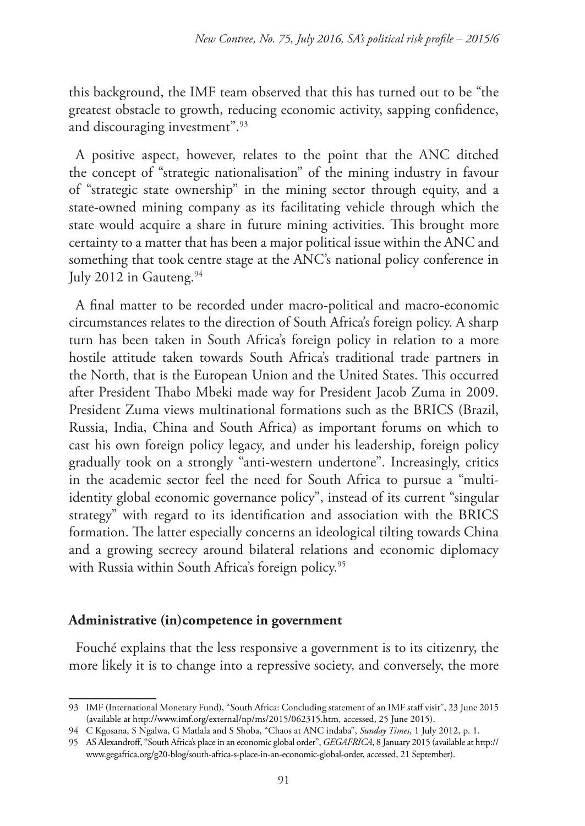this background, the IMF team observed that this has turned out to be "the greatest obstacle to growth, reducing economic activity, sapping confidence, and discouraging investment".<sup>93</sup>

A positive aspect, however, relates to the point that the ANC ditched the concept of "strategic nationalisation" of the mining industry in favour of "strategic state ownership" in the mining sector through equity, and a state-owned mining company as its facilitating vehicle through which the state would acquire a share in future mining activities. This brought more certainty to a matter that has been a major political issue within the ANC and something that took centre stage at the ANC's national policy conference in July 2012 in Gauteng. $94$ 

A final matter to be recorded under macro-political and macro-economic circumstances relates to the direction of South Africa's foreign policy. A sharp turn has been taken in South Africa's foreign policy in relation to a more hostile attitude taken towards South Africa's traditional trade partners in the North, that is the European Union and the United States. This occurred after President Thabo Mbeki made way for President Jacob Zuma in 2009. President Zuma views multinational formations such as the BRICS (Brazil, Russia, India, China and South Africa) as important forums on which to cast his own foreign policy legacy, and under his leadership, foreign policy gradually took on a strongly "anti-western undertone". Increasingly, critics in the academic sector feel the need for South Africa to pursue a "multiidentity global economic governance policy", instead of its current "singular strategy" with regard to its identification and association with the BRICS formation. The latter especially concerns an ideological tilting towards China and a growing secrecy around bilateral relations and economic diplomacy with Russia within South Africa's foreign policy.<sup>95</sup>

## **Administrative (in)competence in government**

Fouché explains that the less responsive a government is to its citizenry, the more likely it is to change into a repressive society, and conversely, the more

<sup>93</sup> IMF (International Monetary Fund), "South Africa: Concluding statement of an IMF staff visit", 23 June 2015 (available at http://www.imf.org/external/np/ms/2015/062315.htm, accessed, 25 June 2015).

<sup>94</sup> C Kgosana, S Ngalwa, G Matlala and S Shoba, "Chaos at ANC indaba", *Sunday Times*, 1 July 2012, p. 1.

<sup>95</sup> AS Alexandroff, "South Africa's place in an economic global order", *GEGAFRICA*, 8 January 2015 (available at http:// www.gegafrica.org/g20-blog/south-africa-s-place-in-an-economic-global-order, accessed, 21 September).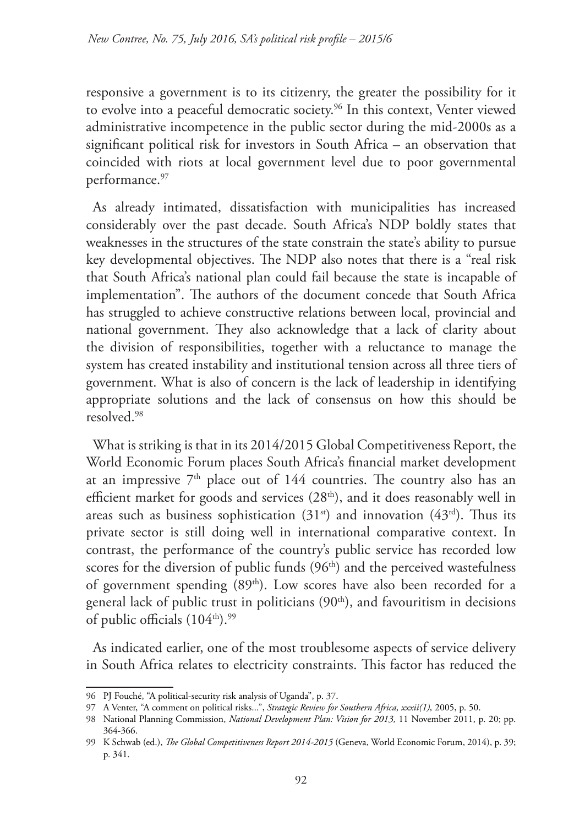responsive a government is to its citizenry, the greater the possibility for it to evolve into a peaceful democratic society.96 In this context, Venter viewed administrative incompetence in the public sector during the mid-2000s as a significant political risk for investors in South Africa – an observation that coincided with riots at local government level due to poor governmental performance.97

As already intimated, dissatisfaction with municipalities has increased considerably over the past decade. South Africa's NDP boldly states that weaknesses in the structures of the state constrain the state's ability to pursue key developmental objectives. The NDP also notes that there is a "real risk that South Africa's national plan could fail because the state is incapable of implementation". The authors of the document concede that South Africa has struggled to achieve constructive relations between local, provincial and national government. They also acknowledge that a lack of clarity about the division of responsibilities, together with a reluctance to manage the system has created instability and institutional tension across all three tiers of government. What is also of concern is the lack of leadership in identifying appropriate solutions and the lack of consensus on how this should be resolved.98

What is striking is that in its 2014/2015 Global Competitiveness Report, the World Economic Forum places South Africa's financial market development at an impressive  $7<sup>th</sup>$  place out of 144 countries. The country also has an efficient market for goods and services (28<sup>th</sup>), and it does reasonably well in areas such as business sophistication  $(31<sup>st</sup>)$  and innovation  $(43<sup>rd</sup>)$ . Thus its private sector is still doing well in international comparative context. In contrast, the performance of the country's public service has recorded low scores for the diversion of public funds  $(96<sup>th</sup>)$  and the perceived wastefulness of government spending (89th). Low scores have also been recorded for a general lack of public trust in politicians (90<sup>th</sup>), and favouritism in decisions of public officials  $(104<sup>th</sup>)<sub>1</sub><sup>99</sup>$ 

As indicated earlier, one of the most troublesome aspects of service delivery in South Africa relates to electricity constraints. This factor has reduced the

<sup>96</sup> PJ Fouché, "A political-security risk analysis of Uganda", p. 37.

<sup>97</sup> A Venter, "A comment on political risks...", *Strategic Review for Southern Africa, xxxii(1),* 2005, p. 50.

<sup>98</sup> National Planning Commission, *National Development Plan: Vision for 2013,* 11 November 2011, p. 20; pp. 364-366.

<sup>99</sup> K Schwab (ed.), *The Global Competitiveness Report 2014-2015* (Geneva, World Economic Forum, 2014), p. 39; p. 341.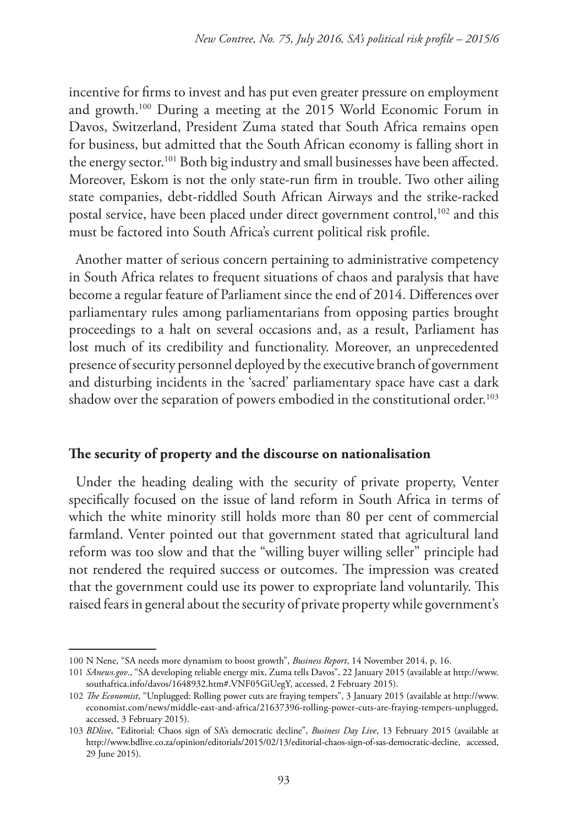incentive for firms to invest and has put even greater pressure on employment and growth.100 During a meeting at the 2015 World Economic Forum in Davos, Switzerland, President Zuma stated that South Africa remains open for business, but admitted that the South African economy is falling short in the energy sector.<sup>101</sup> Both big industry and small businesses have been affected. Moreover, Eskom is not the only state-run firm in trouble. Two other ailing state companies, debt-riddled South African Airways and the strike-racked postal service, have been placed under direct government control,<sup>102</sup> and this must be factored into South Africa's current political risk profile.

Another matter of serious concern pertaining to administrative competency in South Africa relates to frequent situations of chaos and paralysis that have become a regular feature of Parliament since the end of 2014. Differences over parliamentary rules among parliamentarians from opposing parties brought proceedings to a halt on several occasions and, as a result, Parliament has lost much of its credibility and functionality. Moreover, an unprecedented presence of security personnel deployed by the executive branch of government and disturbing incidents in the 'sacred' parliamentary space have cast a dark shadow over the separation of powers embodied in the constitutional order.<sup>103</sup>

## **The security of property and the discourse on nationalisation**

Under the heading dealing with the security of private property, Venter specifically focused on the issue of land reform in South Africa in terms of which the white minority still holds more than 80 per cent of commercial farmland. Venter pointed out that government stated that agricultural land reform was too slow and that the "willing buyer willing seller" principle had not rendered the required success or outcomes. The impression was created that the government could use its power to expropriate land voluntarily. This raised fears in general about the security of private property while government's

<sup>100</sup> N Nene, "SA needs more dynamism to boost growth", *Business Report*, 14 November 2014, p. 16.

<sup>101</sup> *SAnews.gov*., "SA developing reliable energy mix, Zuma tells Davos", 22 January 2015 (available at http://www. southafrica.info/davos/1648932.htm#.VNF05GiUegY, accessed, 2 February 2015).

<sup>102</sup> *The Economist*, "Unplugged: Rolling power cuts are fraying tempers", 3 January 2015 (available at http://www. economist.com/news/middle-east-and-africa/21637396-rolling-power-cuts-are-fraying-tempers-unplugged, accessed, 3 February 2015).

<sup>103</sup> *BDlive*, "Editorial: Chaos sign of SA's democratic decline", *Business Day Live*, 13 February 2015 (available at http://www.bdlive.co.za/opinion/editorials/2015/02/13/editorial-chaos-sign-of-sas-democratic-decline, accessed, 29 June 2015).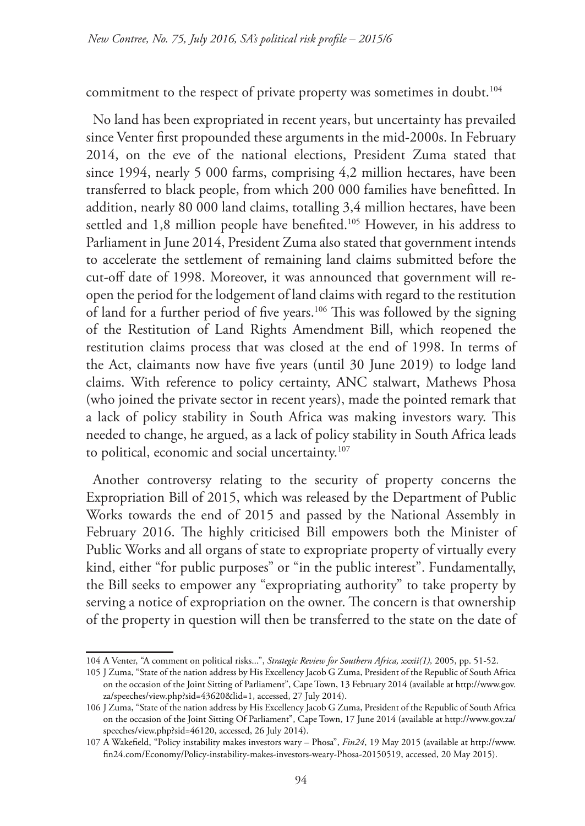commitment to the respect of private property was sometimes in doubt.<sup>104</sup>

No land has been expropriated in recent years, but uncertainty has prevailed since Venter first propounded these arguments in the mid-2000s. In February 2014, on the eve of the national elections, President Zuma stated that since 1994, nearly 5 000 farms, comprising 4,2 million hectares, have been transferred to black people, from which 200 000 families have benefitted. In addition, nearly 80 000 land claims, totalling 3,4 million hectares, have been settled and 1,8 million people have benefited.<sup>105</sup> However, in his address to Parliament in June 2014, President Zuma also stated that government intends to accelerate the settlement of remaining land claims submitted before the cut-off date of 1998. Moreover, it was announced that government will reopen the period for the lodgement of land claims with regard to the restitution of land for a further period of five years.106 This was followed by the signing of the Restitution of Land Rights Amendment Bill, which reopened the restitution claims process that was closed at the end of 1998. In terms of the Act, claimants now have five years (until 30 June 2019) to lodge land claims. With reference to policy certainty, ANC stalwart, Mathews Phosa (who joined the private sector in recent years), made the pointed remark that a lack of policy stability in South Africa was making investors wary. This needed to change, he argued, as a lack of policy stability in South Africa leads to political, economic and social uncertainty.107

Another controversy relating to the security of property concerns the Expropriation Bill of 2015, which was released by the Department of Public Works towards the end of 2015 and passed by the National Assembly in February 2016. The highly criticised Bill empowers both the Minister of Public Works and all organs of state to expropriate property of virtually every kind, either "for public purposes" or "in the public interest". Fundamentally, the Bill seeks to empower any "expropriating authority" to take property by serving a notice of expropriation on the owner. The concern is that ownership of the property in question will then be transferred to the state on the date of

<sup>104</sup> A Venter, "A comment on political risks...", *Strategic Review for Southern Africa, xxxii(1),* 2005, pp. 51-52.

<sup>105</sup> J Zuma, "State of the nation address by His Excellency Jacob G Zuma, President of the Republic of South Africa on the occasion of the Joint Sitting of Parliament", Cape Town, 13 February 2014 (available at http://www.gov. za/speeches/view.php?sid=43620&lid=1, accessed, 27 July 2014).

<sup>106</sup> J Zuma, "State of the nation address by His Excellency Jacob G Zuma, President of the Republic of South Africa on the occasion of the Joint Sitting Of Parliament", Cape Town, 17 June 2014 (available at http://www.gov.za/ speeches/view.php?sid=46120, accessed, 26 July 2014).

<sup>107</sup> A Wakefield, "Policy instability makes investors wary – Phosa", *Fin24*, 19 May 2015 (available at http://www. fin24.com/Economy/Policy-instability-makes-investors-weary-Phosa-20150519, accessed, 20 May 2015).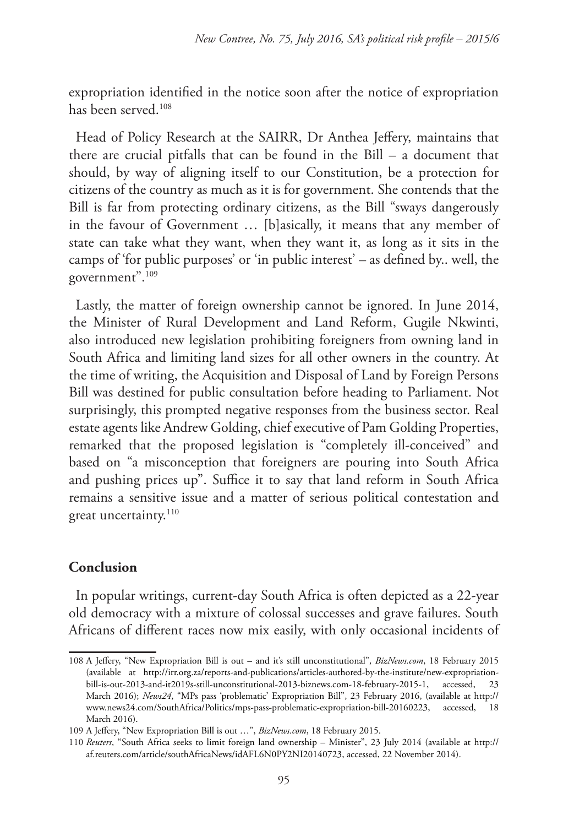expropriation identified in the notice soon after the notice of expropriation has been served.108

Head of Policy Research at the SAIRR, Dr Anthea Jeffery, maintains that there are crucial pitfalls that can be found in the Bill – a document that should, by way of aligning itself to our Constitution, be a protection for citizens of the country as much as it is for government. She contends that the Bill is far from protecting ordinary citizens, as the Bill "sways dangerously in the favour of Government … [b]asically, it means that any member of state can take what they want, when they want it, as long as it sits in the camps of 'for public purposes' or 'in public interest' – as defined by.. well, the government".109

Lastly, the matter of foreign ownership cannot be ignored. In June 2014, the Minister of Rural Development and Land Reform, Gugile Nkwinti, also introduced new legislation prohibiting foreigners from owning land in South Africa and limiting land sizes for all other owners in the country. At the time of writing, the Acquisition and Disposal of Land by Foreign Persons Bill was destined for public consultation before heading to Parliament. Not surprisingly, this prompted negative responses from the business sector. Real estate agents like Andrew Golding, chief executive of Pam Golding Properties, remarked that the proposed legislation is "completely ill-conceived" and based on "a misconception that foreigners are pouring into South Africa and pushing prices up". Suffice it to say that land reform in South Africa remains a sensitive issue and a matter of serious political contestation and great uncertainty.<sup>110</sup>

## **Conclusion**

In popular writings, current-day South Africa is often depicted as a 22-year old democracy with a mixture of colossal successes and grave failures. South Africans of different races now mix easily, with only occasional incidents of

<sup>108</sup> A Jeffery, "New Expropriation Bill is out – and it's still unconstitutional", *BizNews.com*, 18 February 2015 (available at http://irr.org.za/reports-and-publications/articles-authored-by-the-institute/new-expropriationbill-is-out-2013-and-it2019s-still-unconstitutional-2013-biznews.com-18-february-2015-1, accessed, 23 March 2016); *News24*, "MPs pass 'problematic' Expropriation Bill", 23 February 2016, (available at http:// www.news24.com/SouthAfrica/Politics/mps-pass-problematic-expropriation-bill-20160223, accessed, 18 March 2016).

<sup>109</sup> A Jeffery, "New Expropriation Bill is out …", *BizNews.com*, 18 February 2015.

<sup>110</sup> *Reuters*, "South Africa seeks to limit foreign land ownership – Minister", 23 July 2014 (available at http:// af.reuters.com/article/southAfricaNews/idAFL6N0PY2NI20140723, accessed, 22 November 2014).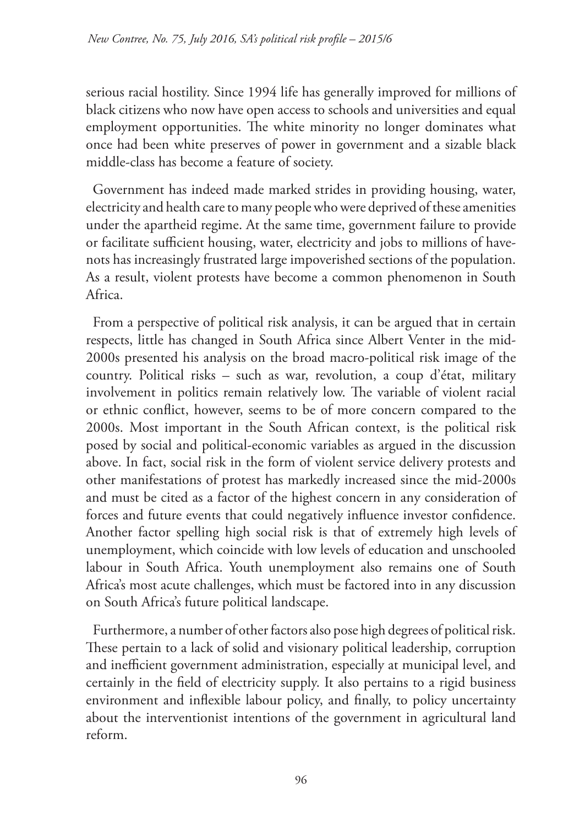serious racial hostility. Since 1994 life has generally improved for millions of black citizens who now have open access to schools and universities and equal employment opportunities. The white minority no longer dominates what once had been white preserves of power in government and a sizable black middle-class has become a feature of society.

Government has indeed made marked strides in providing housing, water, electricity and health care to many people who were deprived of these amenities under the apartheid regime. At the same time, government failure to provide or facilitate sufficient housing, water, electricity and jobs to millions of havenots has increasingly frustrated large impoverished sections of the population. As a result, violent protests have become a common phenomenon in South Africa.

From a perspective of political risk analysis, it can be argued that in certain respects, little has changed in South Africa since Albert Venter in the mid-2000s presented his analysis on the broad macro-political risk image of the country. Political risks – such as war, revolution, a coup d'état, military involvement in politics remain relatively low. The variable of violent racial or ethnic conflict, however, seems to be of more concern compared to the 2000s. Most important in the South African context, is the political risk posed by social and political-economic variables as argued in the discussion above. In fact, social risk in the form of violent service delivery protests and other manifestations of protest has markedly increased since the mid-2000s and must be cited as a factor of the highest concern in any consideration of forces and future events that could negatively influence investor confidence. Another factor spelling high social risk is that of extremely high levels of unemployment, which coincide with low levels of education and unschooled labour in South Africa. Youth unemployment also remains one of South Africa's most acute challenges, which must be factored into in any discussion on South Africa's future political landscape.

Furthermore, a number of other factors also pose high degrees of political risk. These pertain to a lack of solid and visionary political leadership, corruption and inefficient government administration, especially at municipal level, and certainly in the field of electricity supply. It also pertains to a rigid business environment and inflexible labour policy, and finally, to policy uncertainty about the interventionist intentions of the government in agricultural land reform.